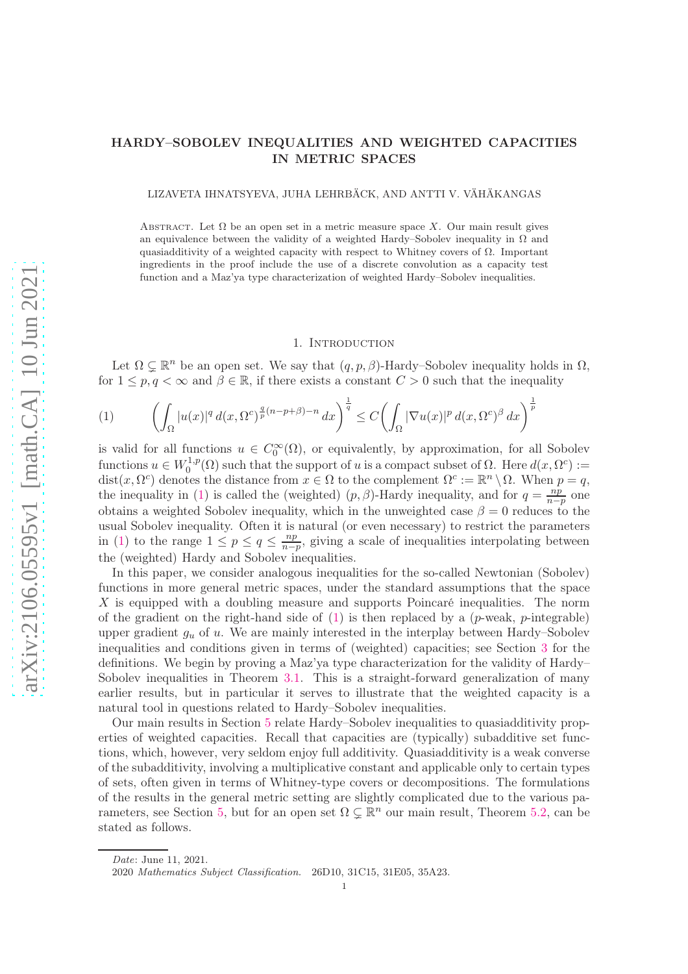# HARDY–SOBOLEV INEQUALITIES AND WEIGHTED CAPACITIES IN METRIC SPACES

LIZAVETA IHNATSYEVA, JUHA LEHRBÄCK, AND ANTTI V. VÄHÄKANGAS

ABSTRACT. Let  $\Omega$  be an open set in a metric measure space X. Our main result gives an equivalence between the validity of a weighted Hardy–Sobolev inequality in  $\Omega$  and quasiadditivity of a weighted capacity with respect to Whitney covers of  $\Omega$ . Important ingredients in the proof include the use of a discrete convolution as a capacity test function and a Maz'ya type characterization of weighted Hardy–Sobolev inequalities.

#### 1. INTRODUCTION

Let  $\Omega \subset \mathbb{R}^n$  be an open set. We say that  $(q, p, \beta)$ -Hardy–Sobolev inequality holds in  $\Omega$ , for  $1 \leq p, q \leq \infty$  and  $\beta \in \mathbb{R}$ , if there exists a constant  $C > 0$  such that the inequality

<span id="page-0-0"></span>
$$
(1) \qquad \left(\int_{\Omega} |u(x)|^q \, d(x, \Omega^c)^{\frac{q}{p}(n-p+\beta)-n} \, dx\right)^{\frac{1}{q}} \le C \left(\int_{\Omega} |\nabla u(x)|^p \, d(x, \Omega^c)^{\beta} \, dx\right)^{\frac{1}{p}}
$$

is valid for all functions  $u \in C_0^{\infty}(\Omega)$ , or equivalently, by approximation, for all Sobolev functions  $u \in W_0^{1,p}$  $\int_0^{1,p}(\Omega)$  such that the support of u is a compact subset of  $\Omega$ . Here  $d(x,\Omega^c) :=$ dist $(x, \Omega^c)$  denotes the distance from  $x \in \Omega$  to the complement  $\Omega^c := \mathbb{R}^n \setminus \Omega$ . When  $p = q$ , the inequality in [\(1\)](#page-0-0) is called the (weighted)  $(p, \beta)$ -Hardy inequality, and for  $q = \frac{np}{n-1}$  $\frac{np}{n-p}$  one obtains a weighted Sobolev inequality, which in the unweighted case  $\beta = 0$  reduces to the usual Sobolev inequality. Often it is natural (or even necessary) to restrict the parameters in [\(1\)](#page-0-0) to the range  $1 \leq p \leq q \leq \frac{np}{n-p}$  $\frac{np}{n-p}$ , giving a scale of inequalities interpolating between the (weighted) Hardy and Sobolev inequalities.

In this paper, we consider analogous inequalities for the so-called Newtonian (Sobolev) functions in more general metric spaces, under the standard assumptions that the space X is equipped with a doubling measure and supports Poincaré inequalities. The norm of the gradient on the right-hand side of  $(1)$  is then replaced by a  $(p$ -weak, p-integrable) upper gradient  $g_u$  of u. We are mainly interested in the interplay between Hardy–Sobolev inequalities and conditions given in terms of (weighted) capacities; see Section [3](#page-4-0) for the definitions. We begin by proving a Maz'ya type characterization for the validity of Hardy– Sobolev inequalities in Theorem [3.1.](#page-4-1) This is a straight-forward generalization of many earlier results, but in particular it serves to illustrate that the weighted capacity is a natural tool in questions related to Hardy–Sobolev inequalities.

Our main results in Section [5](#page-9-0) relate Hardy–Sobolev inequalities to quasiadditivity properties of weighted capacities. Recall that capacities are (typically) subadditive set functions, which, however, very seldom enjoy full additivity. Quasiadditivity is a weak converse of the subadditivity, involving a multiplicative constant and applicable only to certain types of sets, often given in terms of Whitney-type covers or decompositions. The formulations of the results in the general metric setting are slightly complicated due to the various pa-rameters, see Section [5,](#page-9-0) but for an open set  $\Omega \subsetneq \mathbb{R}^n$  our main result, Theorem [5.2,](#page-10-0) can be stated as follows.

Date: June 11, 2021.

<sup>2020</sup> Mathematics Subject Classification. 26D10, 31C15, 31E05, 35A23.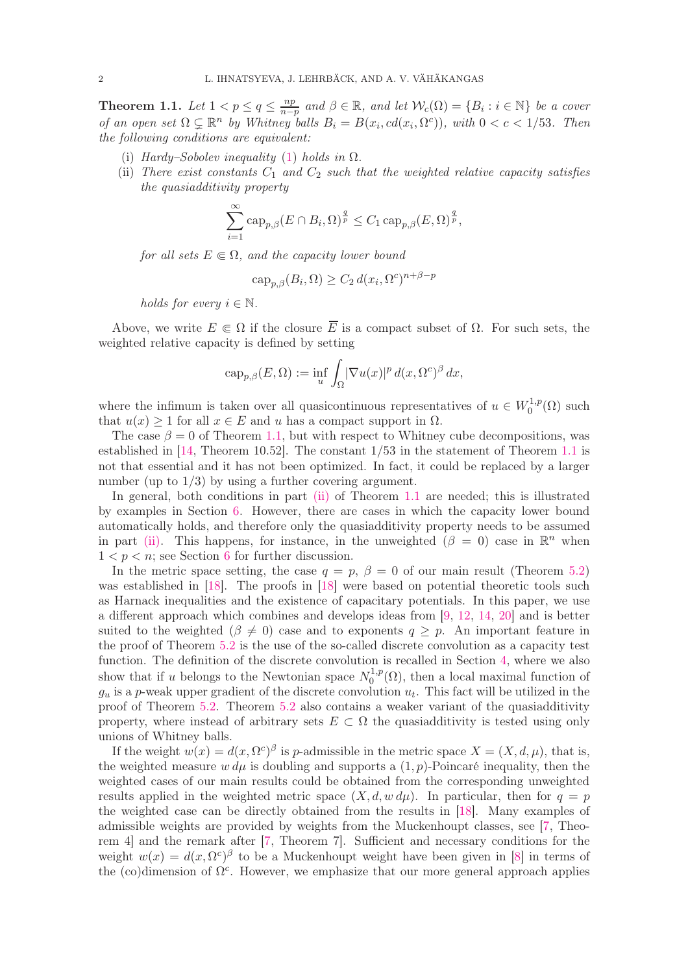<span id="page-1-0"></span>Theorem 1.1. Let  $1 < p \leq q \leq \frac{np}{n-p}$  $\frac{np}{n-p}$  and  $\beta \in \mathbb{R}$ , and let  $\mathcal{W}_c(\Omega) = \{B_i : i \in \mathbb{N}\}\$  be a cover of an open set  $\Omega \subsetneq \mathbb{R}^n$  by Whitney balls  $B_i = B(x_i, cd(x_i, \Omega^c))$ , with  $0 < c < 1/53$ . Then the following conditions are equivalent:

- <span id="page-1-1"></span>(i) Hardy–Sobolev inequality [\(1\)](#page-0-0) holds in  $\Omega$ .
- (ii) There exist constants  $C_1$  and  $C_2$  such that the weighted relative capacity satisfies the quasiadditivity property

$$
\sum_{i=1}^{\infty} \operatorname{cap}_{p,\beta}(E \cap B_i, \Omega)^{\frac{q}{p}} \le C_1 \operatorname{cap}_{p,\beta}(E, \Omega)^{\frac{q}{p}},
$$

for all sets  $E \in \Omega$ , and the capacity lower bound

$$
cap_{p,\beta}(B_i,\Omega) \ge C_2 d(x_i,\Omega^c)^{n+\beta-p}
$$

holds for every  $i \in \mathbb{N}$ .

Above, we write  $E \in \Omega$  if the closure  $\overline{E}$  is a compact subset of  $\Omega$ . For such sets, the weighted relative capacity is defined by setting

$$
\operatorname{cap}_{p,\beta}(E,\Omega) := \inf_{u} \int_{\Omega} |\nabla u(x)|^p \, d(x,\Omega^c)^{\beta} \, dx,
$$

where the infimum is taken over all quasicontinuous representatives of  $u \in W_0^{1,p}$  $_{0}^{\prime 1,p}(\Omega)$  such that  $u(x) \geq 1$  for all  $x \in E$  and u has a compact support in  $\Omega$ .

The case  $\beta = 0$  of Theorem [1.1,](#page-1-0) but with respect to Whitney cube decompositions, was established in  $[14,$  Theorem 10.52. The constant  $1/53$  in the statement of Theorem [1.1](#page-1-0) is not that essential and it has not been optimized. In fact, it could be replaced by a larger number (up to  $1/3$ ) by using a further covering argument.

In general, both conditions in part [\(ii\)](#page-1-1) of Theorem [1.1](#page-1-0) are needed; this is illustrated by examples in Section [6.](#page-13-0) However, there are cases in which the capacity lower bound automatically holds, and therefore only the quasiadditivity property needs to be assumed in part [\(ii\).](#page-1-1) This happens, for instance, in the unweighted  $(\beta = 0)$  case in  $\mathbb{R}^n$  when  $1 < p < n$ ; see Section [6](#page-13-0) for further discussion.

In the metric space setting, the case  $q = p$ ,  $\beta = 0$  of our main result (Theorem [5.2\)](#page-10-0) was established in [\[18\]](#page-15-1). The proofs in [18] were based on potential theoretic tools such as Harnack inequalities and the existence of capacitary potentials. In this paper, we use a different approach which combines and develops ideas from [\[9,](#page-15-2) [12,](#page-15-3) [14,](#page-15-0) [20\]](#page-15-4) and is better suited to the weighted  $(\beta \neq 0)$  case and to exponents  $q \geq p$ . An important feature in the proof of Theorem [5.2](#page-10-0) is the use of the so-called discrete convolution as a capacity test function. The definition of the discrete convolution is recalled in Section [4,](#page-6-0) where we also show that if u belongs to the Newtonian space  $N_0^{1,p}$  $_{0}^{1,p}(\Omega)$ , then a local maximal function of  $g_u$  is a p-weak upper gradient of the discrete convolution  $u_t$ . This fact will be utilized in the proof of Theorem [5.2.](#page-10-0) Theorem [5.2](#page-10-0) also contains a weaker variant of the quasiadditivity property, where instead of arbitrary sets  $E \subset \Omega$  the quasiadditivity is tested using only unions of Whitney balls.

If the weight  $w(x) = d(x, \Omega^c)^{\beta}$  is *p*-admissible in the metric space  $X = (X, d, \mu)$ , that is, the weighted measure  $w du$  is doubling and supports a  $(1, p)$ -Poincaré inequality, then the weighted cases of our main results could be obtained from the corresponding unweighted results applied in the weighted metric space  $(X, d, w \, d\mu)$ . In particular, then for  $q = p$ the weighted case can be directly obtained from the results in [\[18\]](#page-15-1). Many examples of admissible weights are provided by weights from the Muckenhoupt classes, see [\[7,](#page-15-5) Theorem 4] and the remark after [\[7,](#page-15-5) Theorem 7]. Sufficient and necessary conditions for the weight  $w(x) = d(x, \Omega^c)^{\beta}$  to be a Muckenhoupt weight have been given in [\[8\]](#page-15-6) in terms of the (co)dimension of  $\Omega^c$ . However, we emphasize that our more general approach applies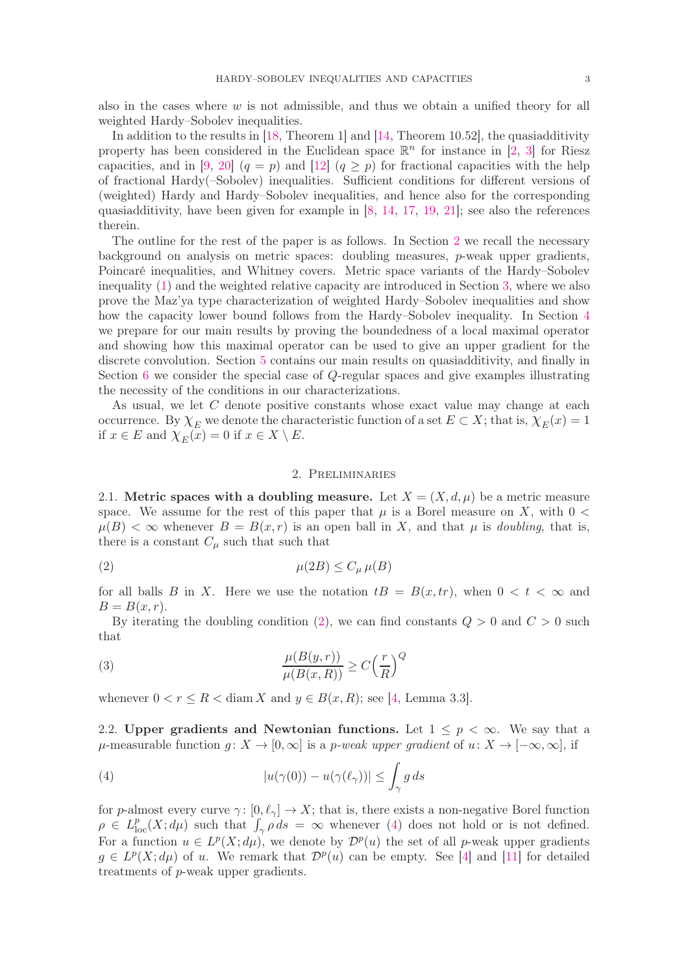also in the cases where  $w$  is not admissible, and thus we obtain a unified theory for all weighted Hardy–Sobolev inequalities.

In addition to the results in [\[18,](#page-15-1) Theorem 1] and [\[14,](#page-15-0) Theorem 10.52], the quasiadditivity property has been considered in the Euclidean space  $\mathbb{R}^n$  for instance in [\[2,](#page-15-7) [3\]](#page-15-8) for Riesz capacities, and in [\[9,](#page-15-2) [20\]](#page-15-4)  $(q = p)$  and [\[12\]](#page-15-3)  $(q \geq p)$  for fractional capacities with the help of fractional Hardy(–Sobolev) inequalities. Sufficient conditions for different versions of (weighted) Hardy and Hardy–Sobolev inequalities, and hence also for the corresponding quasiadditivity, have been given for example in [\[8,](#page-15-6) [14,](#page-15-0) [17,](#page-15-9) [19,](#page-15-10) [21\]](#page-15-11); see also the references therein.

The outline for the rest of the paper is as follows. In Section [2](#page-2-0) we recall the necessary background on analysis on metric spaces: doubling measures, p-weak upper gradients, Poincaré inequalities, and Whitney covers. Metric space variants of the Hardy–Sobolev inequality [\(1\)](#page-0-0) and the weighted relative capacity are introduced in Section [3,](#page-4-0) where we also prove the Maz'ya type characterization of weighted Hardy–Sobolev inequalities and show how the capacity lower bound follows from the Hardy–Sobolev inequality. In Section [4](#page-6-0) we prepare for our main results by proving the boundedness of a local maximal operator and showing how this maximal operator can be used to give an upper gradient for the discrete convolution. Section [5](#page-9-0) contains our main results on quasiadditivity, and finally in Section [6](#page-13-0) we consider the special case of Q-regular spaces and give examples illustrating the necessity of the conditions in our characterizations.

As usual, we let C denote positive constants whose exact value may change at each occurrence. By  $\chi_E$  we denote the characteristic function of a set  $E \subset X$ ; that is,  $\chi_E(x) = 1$ if  $x \in E$  and  $\chi_E(x) = 0$  if  $x \in X \setminus E$ .

## <span id="page-2-1"></span>2. Preliminaries

<span id="page-2-0"></span>2.1. Metric spaces with a doubling measure. Let  $X = (X, d, \mu)$  be a metric measure space. We assume for the rest of this paper that  $\mu$  is a Borel measure on X, with 0 <  $\mu(B) < \infty$  whenever  $B = B(x, r)$  is an open ball in X, and that  $\mu$  is *doubling*, that is, there is a constant  $C_u$  such that such that

$$
\mu(2B) \le C_{\mu} \,\mu(B)
$$

for all balls B in X. Here we use the notation  $tB = B(x, tr)$ , when  $0 < t < \infty$  and  $B = B(x, r)$ .

By iterating the doubling condition [\(2\)](#page-2-1), we can find constants  $Q > 0$  and  $C > 0$  such that

<span id="page-2-3"></span>(3) 
$$
\frac{\mu(B(y,r))}{\mu(B(x,R))} \ge C\left(\frac{r}{R}\right)^{Q}
$$

whenever  $0 < r \le R < \text{diam } X$  and  $y \in B(x, R)$ ; see [\[4,](#page-15-12) Lemma 3.3].

2.2. Upper gradients and Newtonian functions. Let  $1 \leq p \leq \infty$ . We say that a  $\mu$ -measurable function  $g: X \to [0,\infty]$  is a p-weak upper gradient of  $u: X \to [-\infty,\infty]$ , if

<span id="page-2-2"></span>(4) 
$$
|u(\gamma(0)) - u(\gamma(\ell_{\gamma}))| \leq \int_{\gamma} g ds
$$

for p-almost every curve  $\gamma: [0, \ell_{\gamma}] \to X$ ; that is, there exists a non-negative Borel function  $\rho \in L^p_{loc}(X; d\mu)$  such that  $\int_{\gamma} \rho ds = \infty$  whenever [\(4\)](#page-2-2) does not hold or is not defined. For a function  $u \in L^p(X; d\mu)$ , we denote by  $\mathcal{D}^p(u)$  the set of all p-weak upper gradients  $g \in L^p(X; d\mu)$  of u. We remark that  $\mathcal{D}^p(u)$  can be empty. See [\[4\]](#page-15-12) and [\[11\]](#page-15-13) for detailed treatments of p-weak upper gradients.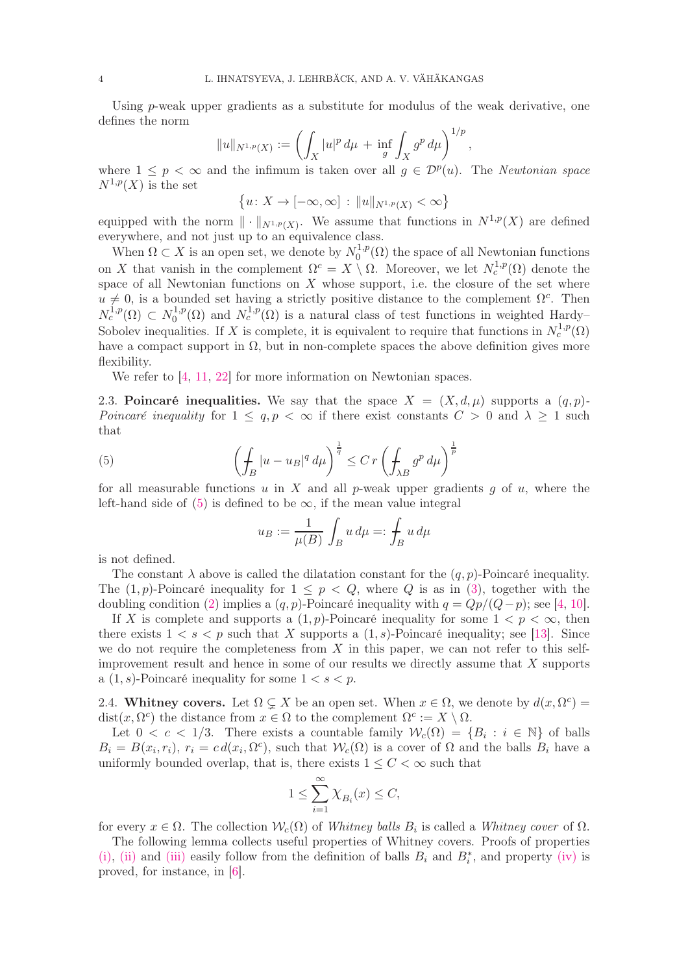Using  $p$ -weak upper gradients as a substitute for modulus of the weak derivative, one defines the norm

$$
||u||_{N^{1,p}(X)} := \left(\int_X |u|^p \, d\mu + \inf_g \int_X g^p \, d\mu\right)^{1/p},
$$

where  $1 \leq p < \infty$  and the infimum is taken over all  $g \in \mathcal{D}^p(u)$ . The Newtonian space  $N^{1,p}(X)$  is the set

$$
\big\{u\colon X\to [-\infty,\infty]\,:\, \|u\|_{N^{1,p}(X)}<\infty\big\}
$$

equipped with the norm  $\|\cdot\|_{N^{1,p}(X)}$ . We assume that functions in  $N^{1,p}(X)$  are defined everywhere, and not just up to an equivalence class.

When  $\Omega \subset X$  is an open set, we denote by  $N_0^{1,p}$  $0^{1,p}(\Omega)$  the space of all Newtonian functions on X that vanish in the complement  $\Omega^c = X \setminus \Omega$ . Moreover, we let  $N_c^{1,p}(\Omega)$  denote the space of all Newtonian functions on  $X$  whose support, i.e. the closure of the set where  $u \neq 0$ , is a bounded set having a strictly positive distance to the complement  $\Omega^c$ . Then  $N_c^{1,p}(\Omega) \subset N_0^{1,p}$  $N_c^{1,p}(\Omega)$  and  $N_c^{1,p}(\Omega)$  is a natural class of test functions in weighted Hardy– Sobolev inequalities. If X is complete, it is equivalent to require that functions in  $N_c^{1,p}(\Omega)$ have a compact support in  $\Omega$ , but in non-complete spaces the above definition gives more flexibility.

We refer to  $[4, 11, 22]$  $[4, 11, 22]$  $[4, 11, 22]$  $[4, 11, 22]$  for more information on Newtonian spaces.

2.3. Poincaré inequalities. We say that the space  $X = (X, d, \mu)$  supports a  $(q, p)$ -Poincaré inequality for  $1 \le q, p < \infty$  if there exist constants  $C > 0$  and  $\lambda \ge 1$  such that

(5) 
$$
\left(\int_B |u - u_B|^q \, d\mu\right)^{\frac{1}{q}} \leq C \, r \left(\int_{\lambda B} g^p \, d\mu\right)^{\frac{1}{p}}
$$

for all measurable functions u in X and all p-weak upper gradients q of u, where the left-hand side of [\(5\)](#page-3-0) is defined to be  $\infty$ , if the mean value integral

<span id="page-3-0"></span>
$$
u_B := \frac{1}{\mu(B)} \int_B u \, d\mu =: \int_B u \, d\mu
$$

is not defined.

The constant  $\lambda$  above is called the dilatation constant for the  $(q, p)$ -Poincaré inequality. The  $(1, p)$ -Poincaré inequality for  $1 \leq p \leq Q$ , where Q is as in [\(3\)](#page-2-3), together with the doubling condition [\(2\)](#page-2-1) implies a  $(q, p)$ -Poincaré inequality with  $q = Qp/(Q-p)$ ; see [\[4,](#page-15-12) [10\]](#page-15-15).

If X is complete and supports a  $(1, p)$ -Poincaré inequality for some  $1 < p < \infty$ , then there exists  $1 < s < p$  such that X supports a  $(1, s)$ -Poincaré inequality; see [\[13\]](#page-15-16). Since we do not require the completeness from  $X$  in this paper, we can not refer to this selfimprovement result and hence in some of our results we directly assume that  $X$  supports a  $(1, s)$ -Poincaré inequality for some  $1 < s < p$ .

2.4. Whitney covers. Let  $\Omega \subsetneq X$  be an open set. When  $x \in \Omega$ , we denote by  $d(x, \Omega^c) =$ dist $(x, \Omega^c)$  the distance from  $x \in \Omega$  to the complement  $\Omega^c := X \setminus \Omega$ .

Let  $0 < c < 1/3$ . There exists a countable family  $\mathcal{W}_c(\Omega) = \{B_i : i \in \mathbb{N}\}\$  of balls  $B_i = B(x_i, r_i), r_i = c d(x_i, \Omega^c)$ , such that  $W_c(\Omega)$  is a cover of  $\Omega$  and the balls  $B_i$  have a uniformly bounded overlap, that is, there exists  $1 \leq C < \infty$  such that

$$
1\leq \sum_{i=1}^\infty \chi_{B_i}(x)\leq C,
$$

for every  $x \in \Omega$ . The collection  $\mathcal{W}_c(\Omega)$  of Whitney balls  $B_i$  is called a Whitney cover of  $\Omega$ .

The following lemma collects useful properties of Whitney covers. Proofs of properties [\(i\),](#page-4-2) [\(ii\)](#page-4-3) and [\(iii\)](#page-4-4) easily follow from the definition of balls  $B_i$  and  $B_i^*$ , and property [\(iv\)](#page-4-5) is proved, for instance, in [\[6\]](#page-15-17).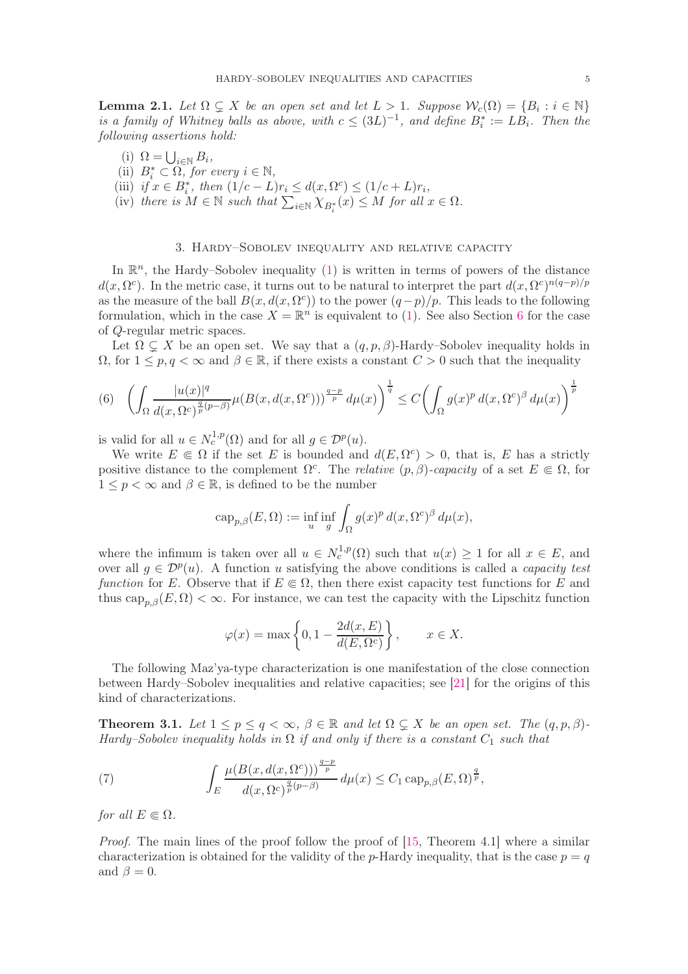<span id="page-4-8"></span>**Lemma 2.1.** Let  $\Omega \subsetneq X$  be an open set and let  $L > 1$ . Suppose  $\mathcal{W}_c(\Omega) = \{B_i : i \in \mathbb{N}\}\$ is a family of Whitney balls as above, with  $c \leq (3L)^{-1}$ , and define  $B_i^* := LB_i$ . Then the following assertions hold:

- <span id="page-4-3"></span><span id="page-4-2"></span>(i)  $\Omega = \bigcup_{i \in \mathbb{N}} B_i$ ,
- <span id="page-4-4"></span>(ii)  $B_i^* \subset \Omega$ , for every  $i \in \mathbb{N}$ ,
- <span id="page-4-5"></span>(iii) if  $x \in B_i^*$ , then  $(1/c - L)r_i \leq d(x, \Omega^c) \leq (1/c + L)r_i$ ,
- (iv) there is  $M \in \mathbb{N}$  such that  $\sum_{i \in \mathbb{N}} \chi_{B_i^*}(x) \leq M$  for all  $x \in \Omega$ .

# 3. Hardy–Sobolev inequality and relative capacity

<span id="page-4-0"></span>In  $\mathbb{R}^n$ , the Hardy–Sobolev inequality [\(1\)](#page-0-0) is written in terms of powers of the distance  $d(x, \Omega^c)$ . In the metric case, it turns out to be natural to interpret the part  $d(x, \Omega^c)^{n(q-p)/p}$ as the measure of the ball  $B(x, d(x, \Omega^c))$  to the power  $(q-p)/p$ . This leads to the following formulation, which in the case  $X = \mathbb{R}^n$  is equivalent to [\(1\)](#page-0-0). See also Section [6](#page-13-0) for the case of Q-regular metric spaces.

Let  $\Omega \subsetneq X$  be an open set. We say that a  $(q, p, \beta)$ -Hardy–Sobolev inequality holds in  $\Omega$ , for  $1 \leq p, q < \infty$  and  $\beta \in \mathbb{R}$ , if there exists a constant  $C > 0$  such that the inequality

<span id="page-4-6"></span>
$$
(6) \quad \left(\int_{\Omega} \frac{|u(x)|^q}{d(x,\Omega^c)^{\frac{q}{p}(p-\beta)}} \mu(B(x,d(x,\Omega^c)))^{\frac{q-p}{p}} d\mu(x)\right)^{\frac{1}{q}} \le C\left(\int_{\Omega} g(x)^p d(x,\Omega^c)^{\beta} d\mu(x)\right)^{\frac{1}{p}}
$$

is valid for all  $u \in N_c^{1,p}(\Omega)$  and for all  $g \in \mathcal{D}^p(u)$ .

We write  $E \in \Omega$  if the set E is bounded and  $d(E, \Omega^c) > 0$ , that is, E has a strictly positive distance to the complement  $\Omega^c$ . The *relative*  $(p, \beta)$ -capacity of a set  $E \in \Omega$ , for  $1 \leq p < \infty$  and  $\beta \in \mathbb{R}$ , is defined to be the number

$$
\operatorname{cap}_{p,\beta}(E,\Omega) := \inf_{u} \inf_{g} \int_{\Omega} g(x)^p \, d(x,\Omega^c)^{\beta} \, d\mu(x),
$$

where the infimum is taken over all  $u \in N_c^{1,p}(\Omega)$  such that  $u(x) \geq 1$  for all  $x \in E$ , and over all  $g \in \mathcal{D}^p(u)$ . A function u satisfying the above conditions is called a *capacity test* function for E. Observe that if  $E \in \Omega$ , then there exist capacity test functions for E and thus  $\text{cap}_{p,\beta}(E,\Omega) < \infty$ . For instance, we can test the capacity with the Lipschitz function

$$
\varphi(x) = \max\left\{0, 1 - \frac{2d(x, E)}{d(E, \Omega^c)}\right\}, \qquad x \in X.
$$

The following Maz'ya-type characterization is one manifestation of the close connection between Hardy–Sobolev inequalities and relative capacities; see [\[21\]](#page-15-11) for the origins of this kind of characterizations.

<span id="page-4-1"></span>**Theorem 3.1.** Let  $1 \leq p \leq q < \infty$ ,  $\beta \in \mathbb{R}$  and let  $\Omega \subsetneq X$  be an open set. The  $(q, p, \beta)$ -Hardy–Sobolev inequality holds in  $\Omega$  if and only if there is a constant  $C_1$  such that

<span id="page-4-7"></span>(7) 
$$
\int_{E} \frac{\mu(B(x, d(x, \Omega^c)))^{\frac{q-p}{p}}}{d(x, \Omega^c)^{\frac{q}{p}(p-\beta)}} d\mu(x) \leq C_1 \operatorname{cap}_{p,\beta}(E, \Omega)^{\frac{q}{p}},
$$

for all  $E \in \Omega$ .

Proof. The main lines of the proof follow the proof of [\[15,](#page-15-18) Theorem 4.1] where a similar characterization is obtained for the validity of the *p*-Hardy inequality, that is the case  $p = q$ and  $\beta = 0$ .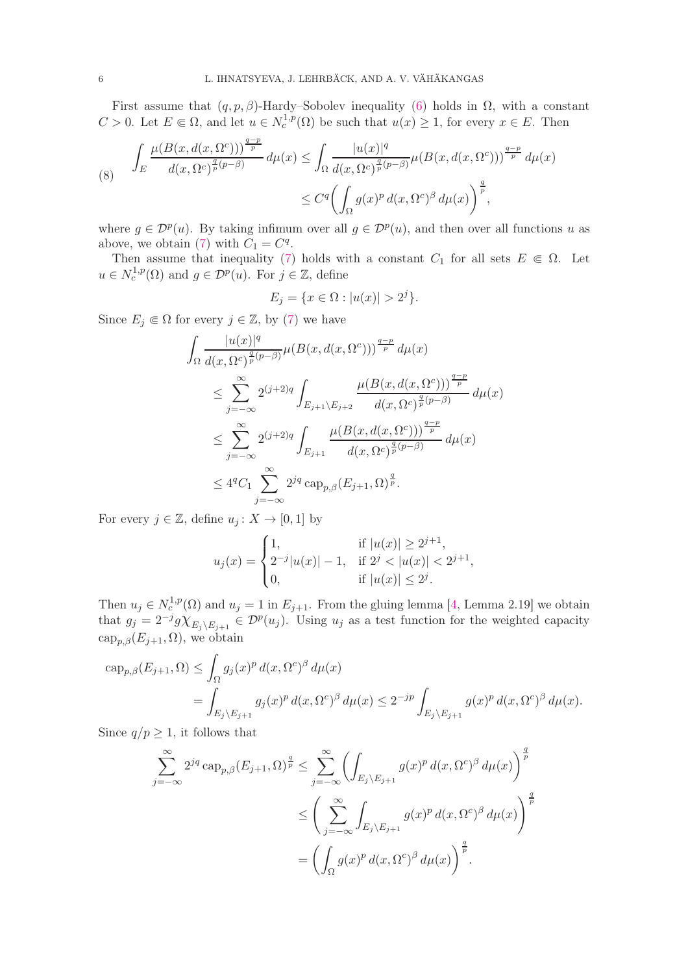First assume that  $(q, p, \beta)$ -Hardy–Sobolev inequality [\(6\)](#page-4-6) holds in  $\Omega$ , with a constant  $C > 0$ . Let  $E \in \Omega$ , and let  $u \in N_c^{1,p}(\Omega)$  be such that  $u(x) \geq 1$ , for every  $x \in E$ . Then

<span id="page-5-0"></span>
$$
\int_{E} \frac{\mu(B(x, d(x, \Omega^c)))^{\frac{q-p}{p}}}{d(x, \Omega^c)^{\frac{q}{p}(p-\beta)}} d\mu(x) \le \int_{\Omega} \frac{|u(x)|^q}{d(x, \Omega^c)^{\frac{q}{p}(p-\beta)}} \mu(B(x, d(x, \Omega^c)))^{\frac{q-p}{p}} d\mu(x)
$$
\n
$$
\le C^q \left( \int_{\Omega} g(x)^p d(x, \Omega^c)^{\beta} d\mu(x) \right)^{\frac{q}{p}},
$$

where  $g \in \mathcal{D}^p(u)$ . By taking infimum over all  $g \in \mathcal{D}^p(u)$ , and then over all functions u as above, we obtain [\(7\)](#page-4-7) with  $C_1 = C<sup>q</sup>$ .

Then assume that inequality [\(7\)](#page-4-7) holds with a constant  $C_1$  for all sets  $E \in \Omega$ . Let  $u \in N_c^{1,p}(\Omega)$  and  $g \in \mathcal{D}^p(u)$ . For  $j \in \mathbb{Z}$ , define

$$
E_j = \{ x \in \Omega : |u(x)| > 2^j \}.
$$

Since  $E_j \in \Omega$  for every  $j \in \mathbb{Z}$ , by [\(7\)](#page-4-7) we have

$$
\int_{\Omega} \frac{|u(x)|^q}{d(x, \Omega^c)^{\frac{q}{p}(p-\beta)}} \mu(B(x, d(x, \Omega^c)))^{\frac{q-p}{p}} d\mu(x)
$$
\n
$$
\leq \sum_{j=-\infty}^{\infty} 2^{(j+2)q} \int_{E_{j+1} \setminus E_{j+2}} \frac{\mu(B(x, d(x, \Omega^c)))^{\frac{q-p}{p}}}{d(x, \Omega^c)^{\frac{q}{p}(p-\beta)}} d\mu(x)
$$
\n
$$
\leq \sum_{j=-\infty}^{\infty} 2^{(j+2)q} \int_{E_{j+1}} \frac{\mu(B(x, d(x, \Omega^c)))^{\frac{q-p}{p}}}{d(x, \Omega^c)^{\frac{q}{p}(p-\beta)}} d\mu(x)
$$
\n
$$
\leq 4^q C_1 \sum_{j=-\infty}^{\infty} 2^{jq} \operatorname{cap}_{p,\beta}(E_{j+1}, \Omega)^{\frac{q}{p}}.
$$

For every  $j \in \mathbb{Z}$ , define  $u_j : X \to [0,1]$  by

$$
u_j(x) = \begin{cases} 1, & \text{if } |u(x)| \ge 2^{j+1}, \\ 2^{-j}|u(x)| - 1, & \text{if } 2^j < |u(x)| < 2^{j+1}, \\ 0, & \text{if } |u(x)| \le 2^j. \end{cases}
$$

Then  $u_j \in N_c^{1,p}(\Omega)$  and  $u_j = 1$  in  $E_{j+1}$ . From the gluing lemma [\[4,](#page-15-12) Lemma 2.19] we obtain that  $g_j = 2^{-j} g \chi_{E_j \setminus E_{j+1}} \in \mathcal{D}^p(u_j)$ . Using  $u_j$  as a test function for the weighted capacity  $\text{cap}_{p,\beta}(E_{j+1},\Omega)$ , we obtain

$$
\begin{aligned} \operatorname{cap}_{p,\beta}(E_{j+1},\Omega) &\leq \int_{\Omega} g_j(x)^p \, d(x,\Omega^c)^{\beta} \, d\mu(x) \\ &= \int_{E_j \setminus E_{j+1}} g_j(x)^p \, d(x,\Omega^c)^{\beta} \, d\mu(x) \leq 2^{-jp} \int_{E_j \setminus E_{j+1}} g(x)^p \, d(x,\Omega^c)^{\beta} \, d\mu(x). \end{aligned}
$$

Since  $q/p \geq 1$ , it follows that

$$
\sum_{j=-\infty}^{\infty} 2^{jq} \operatorname{cap}_{p,\beta}(E_{j+1}, \Omega)^{\frac{q}{p}} \leq \sum_{j=-\infty}^{\infty} \left( \int_{E_j \setminus E_{j+1}} g(x)^p d(x, \Omega^c)^{\beta} d\mu(x) \right)^{\frac{q}{p}}
$$
  

$$
\leq \left( \sum_{j=-\infty}^{\infty} \int_{E_j \setminus E_{j+1}} g(x)^p d(x, \Omega^c)^{\beta} d\mu(x) \right)^{\frac{q}{p}}
$$
  

$$
= \left( \int_{\Omega} g(x)^p d(x, \Omega^c)^{\beta} d\mu(x) \right)^{\frac{q}{p}}.
$$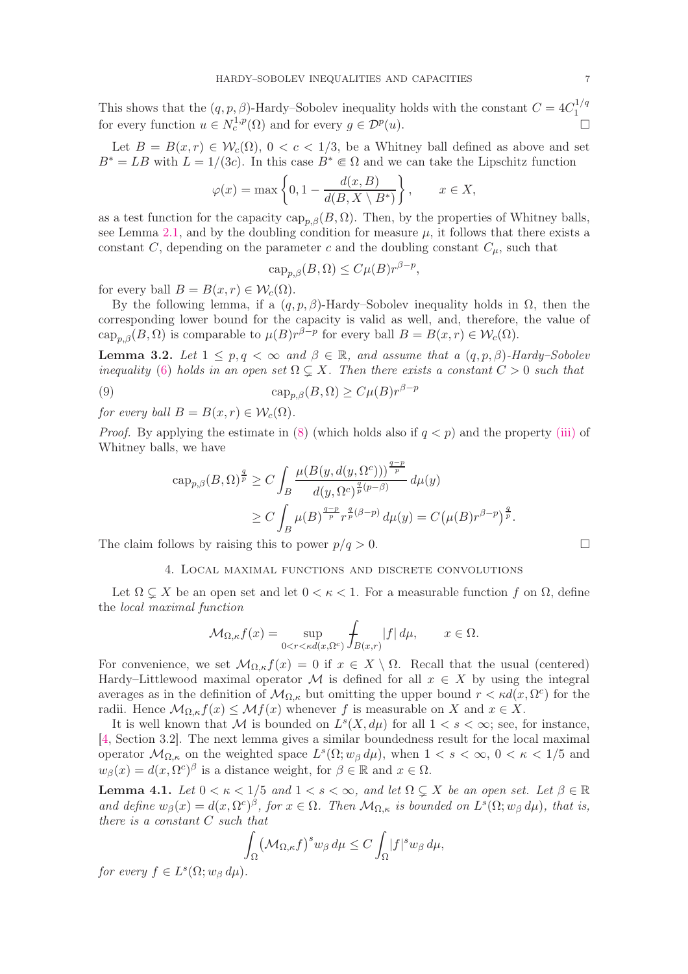This shows that the  $(q, p, \beta)$ -Hardy–Sobolev inequality holds with the constant  $C = 4C_1^{1/q}$ ty holds with the constant  $C = 4C_1$ <br>(*u*). for every function  $u \in N_c^{1,p}(\Omega)$  and for every  $g \in \mathcal{D}^p$ 

Let  $B = B(x, r) \in W_c(\Omega)$ ,  $0 < c < 1/3$ , be a Whitney ball defined as above and set  $B^* = LB$  with  $L = 1/(3c)$ . In this case  $B^* \in \Omega$  and we can take the Lipschitz function

$$
\varphi(x) = \max\left\{0, 1 - \frac{d(x, B)}{d(B, X \setminus B^*)}\right\}, \qquad x \in X,
$$

as a test function for the capacity  $\text{cap}_{p,\beta}(B,\Omega)$ . Then, by the properties of Whitney balls, see Lemma [2.1,](#page-4-8) and by the doubling condition for measure  $\mu$ , it follows that there exists a constant C, depending on the parameter c and the doubling constant  $C_{\mu}$ , such that

<span id="page-6-1"></span>
$$
cap_{p,\beta}(B,\Omega) \le C\mu(B)r^{\beta-p},
$$

for every ball  $B = B(x, r) \in W_c(\Omega)$ .

By the following lemma, if a  $(q, p, \beta)$ -Hardy–Sobolev inequality holds in  $\Omega$ , then the corresponding lower bound for the capacity is valid as well, and, therefore, the value of  $\text{cap}_{p,\beta}(B,\Omega)$  is comparable to  $\mu(B)r^{\beta-p}$  for every ball  $B=B(x,r)\in\mathcal{W}_c(\Omega)$ .

<span id="page-6-2"></span>**Lemma 3.2.** Let  $1 \leq p, q < \infty$  and  $\beta \in \mathbb{R}$ , and assume that a  $(q, p, \beta)$ -Hardy–Sobolev inequality [\(6\)](#page-4-6) holds in an open set  $\Omega \subsetneq X$ . Then there exists a constant  $C > 0$  such that

(9) 
$$
\operatorname{cap}_{p,\beta}(B,\Omega) \ge C\mu(B)r^{\beta-p}
$$

for every ball  $B = B(x, r) \in W_c(\Omega)$ .

*Proof.* By applying the estimate in [\(8\)](#page-5-0) (which holds also if  $q < p$ ) and the property [\(iii\)](#page-4-4) of Whitney balls, we have

$$
\begin{aligned} \operatorname{cap}_{p,\beta}(B,\Omega)^{\frac{q}{p}} &\geq C \int_{B} \frac{\mu(B(y,d(y,\Omega^c)))^{\frac{q-p}{p}}}{d(y,\Omega^c)^{\frac{q}{p}(p-\beta)}} \, d\mu(y) \\ &\geq C \int_{B} \mu(B)^{\frac{q-p}{p}} r^{\frac{q}{p}(\beta-p)} \, d\mu(y) = C \big( \mu(B) r^{\beta-p} \big)^{\frac{q}{p}}. \end{aligned}
$$

<span id="page-6-0"></span>The claim follows by raising this to power  $p/q > 0$ .

### 4. Local maximal functions and discrete convolutions

Let  $\Omega \subsetneq X$  be an open set and let  $0 < \kappa < 1$ . For a measurable function f on  $\Omega$ , define the local maximal function

$$
\mathcal{M}_{\Omega,\kappa}f(x) = \sup_{0 < r < \kappa d(x,\Omega^c)} \int_{B(x,r)} |f| \, d\mu, \qquad x \in \Omega.
$$

For convenience, we set  $\mathcal{M}_{\Omega,\kappa}f(x) = 0$  if  $x \in X \setminus \Omega$ . Recall that the usual (centered) Hardy–Littlewood maximal operator M is defined for all  $x \in X$  by using the integral averages as in the definition of  $\mathcal{M}_{\Omega,\kappa}$  but omitting the upper bound  $r < \kappa d(x,\Omega^c)$  for the radii. Hence  $\mathcal{M}_{\Omega,\kappa}f(x) \leq \mathcal{M}f(x)$  whenever f is measurable on X and  $x \in X$ .

It is well known that M is bounded on  $L^s(X, d\mu)$  for all  $1 < s < \infty$ ; see, for instance, [\[4,](#page-15-12) Section 3.2]. The next lemma gives a similar boundedness result for the local maximal operator  $\mathcal{M}_{\Omega,\kappa}$  on the weighted space  $L^s(\Omega; w_\beta d\mu)$ , when  $1 < s < \infty$ ,  $0 < \kappa < 1/5$  and  $w_{\beta}(x) = d(x, \Omega^c)^{\beta}$  is a distance weight, for  $\beta \in \mathbb{R}$  and  $x \in \Omega$ .

<span id="page-6-3"></span>**Lemma 4.1.** Let  $0 < \kappa < 1/5$  and  $1 < s < \infty$ , and let  $\Omega \subseteq X$  be an open set. Let  $\beta \in \mathbb{R}$ and define  $w_{\beta}(x) = d(x, \Omega^c)^{\beta}$ , for  $x \in \Omega$ . Then  $\mathcal{M}_{\Omega,\kappa}$  is bounded on  $L^s(\Omega; w_{\beta} d\mu)$ , that is, there is a constant C such that

$$
\int_{\Omega} \left(\mathcal{M}_{\Omega,\kappa}f\right)^s w_{\beta} d\mu \leq C \int_{\Omega} |f|^s w_{\beta} d\mu,
$$

for every  $f \in L^s(\Omega; w_\beta \, d\mu)$ .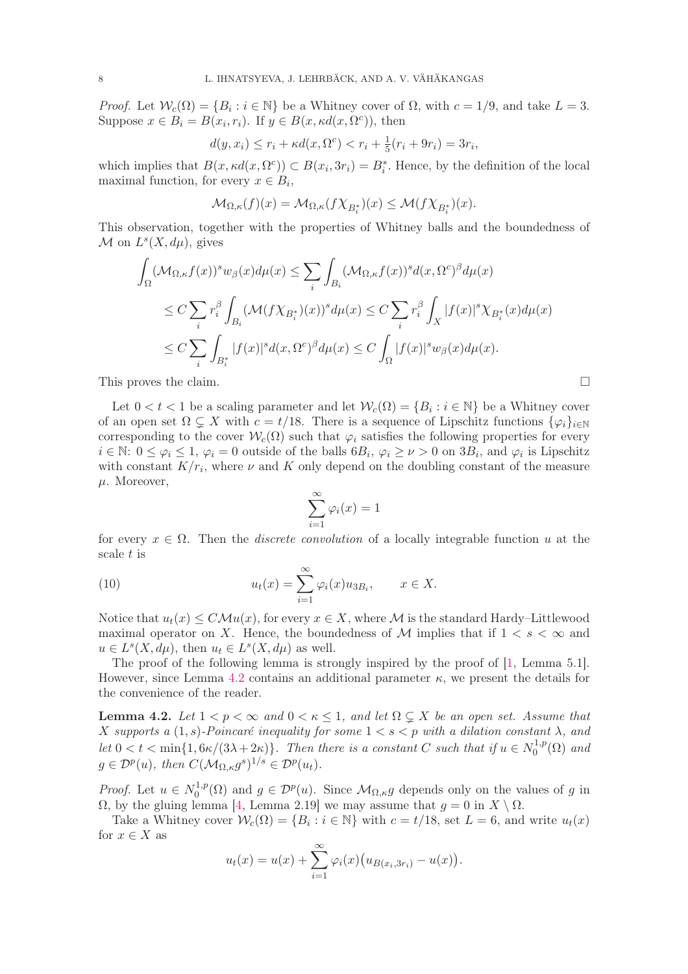*Proof.* Let  $W_c(\Omega) = \{B_i : i \in \mathbb{N}\}\$  be a Whitney cover of  $\Omega$ , with  $c = 1/9$ , and take  $L = 3$ . Suppose  $x \in B_i = B(x_i, r_i)$ . If  $y \in B(x, \kappa d(x, \Omega^c))$ , then

$$
d(y, x_i) \le r_i + \kappa d(x, \Omega^c) < r_i + \frac{1}{5}(r_i + 9r_i) = 3r_i,
$$

which implies that  $B(x, \kappa d(x, \Omega^c)) \subset B(x_i, 3r_i) = B_i^*$ . Hence, by the definition of the local maximal function, for every  $x \in B_i$ ,

$$
\mathcal{M}_{\Omega,\kappa}(f)(x) = \mathcal{M}_{\Omega,\kappa}(f \chi_{B_i^*})(x) \leq \mathcal{M}(f \chi_{B_i^*})(x).
$$

This observation, together with the properties of Whitney balls and the boundedness of  $\mathcal M$  on  $L^s(X, d\mu)$ , gives

$$
\int_{\Omega} (\mathcal{M}_{\Omega,\kappa} f(x))^s w_{\beta}(x) d\mu(x) \leq \sum_{i} \int_{B_i} (\mathcal{M}_{\Omega,\kappa} f(x))^s d(x, \Omega^c)^{\beta} d\mu(x)
$$
\n
$$
\leq C \sum_{i} r_i^{\beta} \int_{B_i} (\mathcal{M}(f \chi_{B_i^*})(x))^s d\mu(x) \leq C \sum_{i} r_i^{\beta} \int_{X} |f(x)|^s \chi_{B_i^*}(x) d\mu(x)
$$
\n
$$
\leq C \sum_{i} \int_{B_i^*} |f(x)|^s d(x, \Omega^c)^{\beta} d\mu(x) \leq C \int_{\Omega} |f(x)|^s w_{\beta}(x) d\mu(x).
$$

This proves the claim.

Let  $0 < t < 1$  be a scaling parameter and let  $\mathcal{W}_c(\Omega) = \{B_i : i \in \mathbb{N}\}\$  be a Whitney cover of an open set  $\Omega \subsetneq X$  with  $c = t/18$ . There is a sequence of Lipschitz functions  $\{\varphi_i\}_{i\in\mathbb{N}}$ corresponding to the cover  $\mathcal{W}_c(\Omega)$  such that  $\varphi_i$  satisfies the following properties for every  $i \in \mathbb{N}$ :  $0 \le \varphi_i \le 1$ ,  $\varphi_i = 0$  outside of the balls  $6B_i$ ,  $\varphi_i \ge \nu > 0$  on  $3B_i$ , and  $\varphi_i$  is Lipschitz with constant  $K/r_i$ , where  $\nu$  and  $K$  only depend on the doubling constant of the measure  $\mu$ . Moreover,

<span id="page-7-1"></span>
$$
\sum_{i=1}^{\infty} \varphi_i(x) = 1
$$

for every  $x \in \Omega$ . Then the *discrete convolution* of a locally integrable function u at the scale  $t$  is

(10) 
$$
u_t(x) = \sum_{i=1}^{\infty} \varphi_i(x) u_{3B_i}, \qquad x \in X.
$$

Notice that  $u_t(x) \leq C\mathcal{M}u(x)$ , for every  $x \in X$ , where M is the standard Hardy–Littlewood maximal operator on X. Hence, the boundedness of M implies that if  $1 < s < \infty$  and  $u \in L^s(X, d\mu)$ , then  $u_t \in L^s(X, d\mu)$  as well.

The proof of the following lemma is strongly inspired by the proof of [\[1,](#page-15-19) Lemma 5.1]. However, since Lemma [4.2](#page-7-0) contains an additional parameter  $\kappa$ , we present the details for the convenience of the reader.

<span id="page-7-0"></span>**Lemma 4.2.** Let  $1 < p < \infty$  and  $0 < \kappa \leq 1$ , and let  $\Omega \subsetneq X$  be an open set. Assume that X supports a  $(1, s)$ -Poincaré inequality for some  $1 < s < p$  with a dilation constant  $\lambda$ , and let  $0 < t < \min\{1, 6\kappa/(3\lambda+2\kappa)\}\$ . Then there is a constant C such that if  $u \in N_0^{1,p}$  $_{0}^{1,p}(\Omega)$  and  $g \in \mathcal{D}^p(u)$ , then  $C(\mathcal{M}_{\Omega,\kappa}g^s)^{1/s} \in \mathcal{D}^p(u_t)$ .

*Proof.* Let  $u \in N_0^{1,p}$  $\mathcal{O}_0^{1,p}(\Omega)$  and  $g \in \mathcal{D}^p(u)$ . Since  $\mathcal{M}_{\Omega,\kappa}g$  depends only on the values of g in  $Ω$ , by the gluing lemma [\[4,](#page-15-12) Lemma 2.19] we may assume that  $g = 0$  in  $X \setminus Ω$ .

Take a Whitney cover  $W_c(\Omega) = \{B_i : i \in \mathbb{N}\}\$  with  $c = t/18$ , set  $L = 6$ , and write  $u_t(x)$ for  $x \in X$  as

$$
u_t(x) = u(x) + \sum_{i=1}^{\infty} \varphi_i(x) (u_{B(x_i, 3r_i)} - u(x)).
$$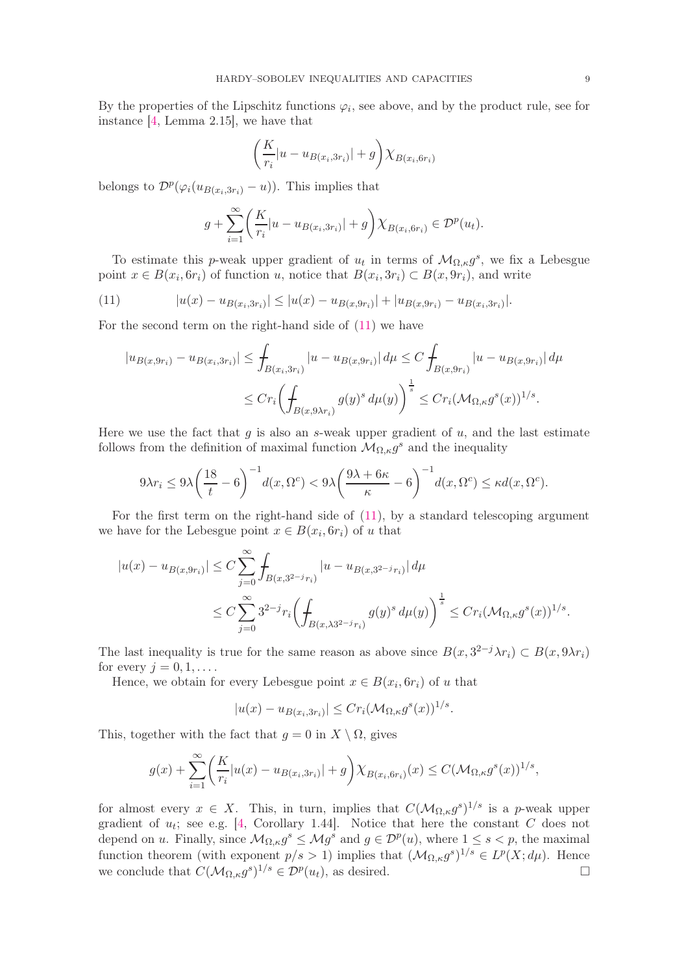By the properties of the Lipschitz functions  $\varphi_i$ , see above, and by the product rule, see for instance [\[4,](#page-15-12) Lemma 2.15], we have that

$$
\left(\frac{K}{r_i}|u - u_{B(x_i, 3r_i)}| + g\right) \chi_{B(x_i, 6r_i)}
$$

belongs to  $\mathcal{D}^p(\varphi_i(u_{B(x_i,3r_i)}-u))$ . This implies that

$$
g + \sum_{i=1}^{\infty} \left( \frac{K}{r_i} |u - u_{B(x_i, 3r_i)}| + g \right) \chi_{B(x_i, 6r_i)} \in \mathcal{D}^p(u_t).
$$

To estimate this p-weak upper gradient of  $u_t$  in terms of  $\mathcal{M}_{\Omega,\kappa}g^s$ , we fix a Lebesgue point  $x \in B(x_i, 6r_i)$  of function u, notice that  $B(x_i, 3r_i) \subset B(x, 9r_i)$ , and write

(11) 
$$
|u(x) - u_{B(x_i, 3r_i)}| \le |u(x) - u_{B(x, 9r_i)}| + |u_{B(x, 9r_i)} - u_{B(x_i, 3r_i)}|.
$$

For the second term on the right-hand side of [\(11\)](#page-8-0) we have

<span id="page-8-0"></span>
$$
|u_{B(x,9r_i)} - u_{B(x_i,3r_i)}| \le \int_{B(x_i,3r_i)} |u - u_{B(x,9r_i)}| d\mu \le C \int_{B(x,9r_i)} |u - u_{B(x,9r_i)}| d\mu
$$
  

$$
\le C r_i \left( \int_{B(x,9\lambda r_i)} g(y)^s d\mu(y) \right)^{\frac{1}{s}} \le C r_i (\mathcal{M}_{\Omega,\kappa} g^s(x))^{1/s}.
$$

Here we use the fact that  $g$  is also an  $s$ -weak upper gradient of  $u$ , and the last estimate follows from the definition of maximal function  $\mathcal{M}_{\Omega,\kappa}g^s$  and the inequality

$$
9\lambda r_i \le 9\lambda \left(\frac{18}{t} - 6\right)^{-1} d(x, \Omega^c) < 9\lambda \left(\frac{9\lambda + 6\kappa}{\kappa} - 6\right)^{-1} d(x, \Omega^c) \le \kappa d(x, \Omega^c).
$$

For the first term on the right-hand side of [\(11\)](#page-8-0), by a standard telescoping argument we have for the Lebesgue point  $x \in B(x_i, 6r_i)$  of u that

$$
|u(x) - u_{B(x, 9r_i)}| \le C \sum_{j=0}^{\infty} \int_{B(x, 3^{2-j}r_i)} |u - u_{B(x, 3^{2-j}r_i)}| d\mu
$$
  

$$
\le C \sum_{j=0}^{\infty} 3^{2-j} r_i \left( \int_{B(x, \lambda 3^{2-j}r_i)} g(y)^s d\mu(y) \right)^{\frac{1}{s}} \le C r_i (\mathcal{M}_{\Omega, \kappa} g^s(x))^{1/s}.
$$

The last inequality is true for the same reason as above since  $B(x, 3^{2-j}\lambda r_i) \subset B(x, 9\lambda r_i)$ for every  $i = 0, 1, \ldots$ .

Hence, we obtain for every Lebesgue point  $x \in B(x_i, 6r_i)$  of u that

$$
|u(x) - u_{B(x_i, 3r_i)}| \le Cr_i(\mathcal{M}_{\Omega, \kappa} g^s(x))^{1/s}.
$$

This, together with the fact that  $q = 0$  in  $X \setminus \Omega$ , gives

$$
g(x)+\sum_{i=1}^{\infty}\biggl(\frac{K}{r_i}|u(x)-u_{B(x_i,3r_i)}|+g\biggr)\chi_{B(x_i,6r_i)}(x)\leq C(\mathcal M_{\Omega,\kappa}g^s(x))^{1/s},
$$

for almost every  $x \in X$ . This, in turn, implies that  $C(\mathcal{M}_{\Omega,\kappa}g^{s})^{1/s}$  is a p-weak upper gradient of  $u_t$ ; see e.g. [\[4,](#page-15-12) Corollary 1.44]. Notice that here the constant C does not depend on u. Finally, since  $\mathcal{M}_{\Omega,\kappa} g^s \leq \mathcal{M} g^s$  and  $g \in \mathcal{D}^p(u)$ , where  $1 \leq s < p$ , the maximal function theorem (with exponent  $p/s > 1$ ) implies that  $(\mathcal{M}_{\Omega,\kappa} g^s)^{1/s} \in L^p(X; d\mu)$ . Hence we conclude that  $C(\mathcal{M}_{\Omega,\kappa}g^s)^{1/s} \in \mathcal{D}^p(u_t)$ , as desired.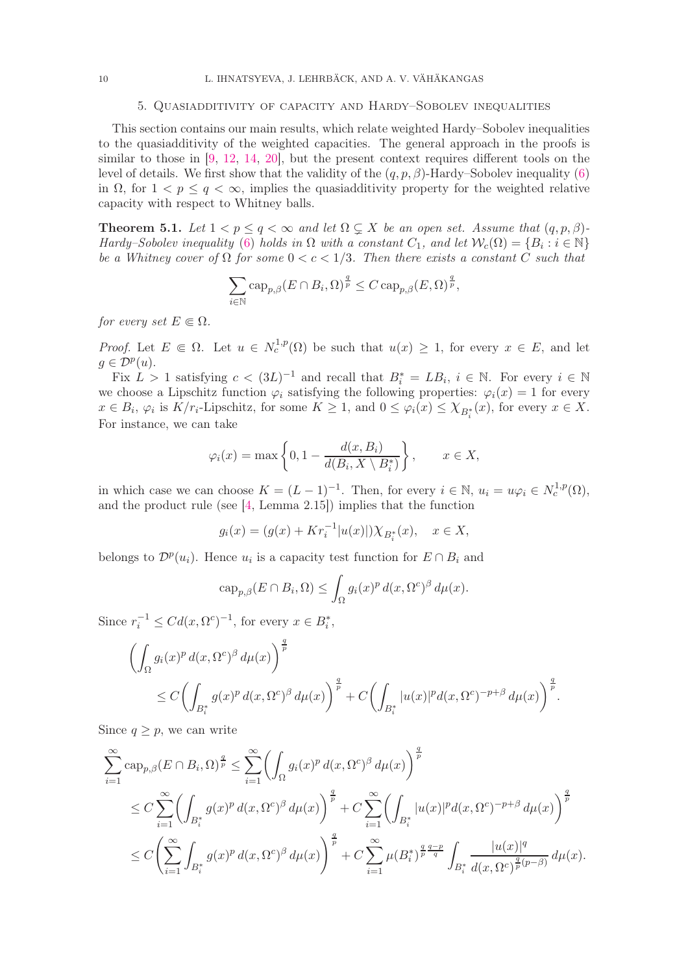#### 5. Quasiadditivity of capacity and Hardy–Sobolev inequalities

<span id="page-9-0"></span>This section contains our main results, which relate weighted Hardy–Sobolev inequalities to the quasiadditivity of the weighted capacities. The general approach in the proofs is similar to those in [\[9,](#page-15-2) [12,](#page-15-3) [14,](#page-15-0) [20\]](#page-15-4), but the present context requires different tools on the level of details. We first show that the validity of the  $(q, p, \beta)$ -Hardy–Sobolev inequality [\(6\)](#page-4-6) in  $\Omega$ , for  $1 < p \le q < \infty$ , implies the quasiadditivity property for the weighted relative capacity with respect to Whitney balls.

<span id="page-9-1"></span>**Theorem 5.1.** Let  $1 < p \leq q < \infty$  and let  $\Omega \subsetneq X$  be an open set. Assume that  $(q, p, \beta)$ -Hardy–Sobolev inequality [\(6\)](#page-4-6) holds in  $\Omega$  with a constant  $C_1$ , and let  $\mathcal{W}_c(\Omega) = \{B_i : i \in \mathbb{N}\}\$ be a Whitney cover of  $\Omega$  for some  $0 < c < 1/3$ . Then there exists a constant C such that

$$
\sum_{i \in \mathbb{N}} \operatorname{cap}_{p,\beta}(E \cap B_i, \Omega)^{\frac{q}{p}} \leq C \operatorname{cap}_{p,\beta}(E, \Omega)^{\frac{q}{p}},
$$

for every set  $E \in \Omega$ .

*Proof.* Let  $E \in \Omega$ . Let  $u \in N_c^{1,p}(\Omega)$  be such that  $u(x) \geq 1$ , for every  $x \in E$ , and let  $g \in \mathcal{D}^p(u)$ .

Fix  $L > 1$  satisfying  $c < (3L)^{-1}$  and recall that  $B_i^* = LB_i$ ,  $i \in \mathbb{N}$ . For every  $i \in \mathbb{N}$ we choose a Lipschitz function  $\varphi_i$  satisfying the following properties:  $\varphi_i(x) = 1$  for every  $x \in B_i$ ,  $\varphi_i$  is  $K/r_i$ -Lipschitz, for some  $K \geq 1$ , and  $0 \leq \varphi_i(x) \leq \chi_{B_i^*}(x)$ , for every  $x \in X$ . For instance, we can take

$$
\varphi_i(x) = \max \left\{ 0, 1 - \frac{d(x, B_i)}{d(B_i, X \setminus B_i^*)} \right\}, \qquad x \in X,
$$

in which case we can choose  $K = (L-1)^{-1}$ . Then, for every  $i \in \mathbb{N}$ ,  $u_i = u\varphi_i \in N_c^{1,p}(\Omega)$ , and the product rule (see [\[4,](#page-15-12) Lemma 2.15]) implies that the function

$$
g_i(x) = (g(x) + Kr_i^{-1}|u(x)|)\chi_{B_i^*}(x), \quad x \in X,
$$

belongs to  $\mathcal{D}^p(u_i)$ . Hence  $u_i$  is a capacity test function for  $E \cap B_i$  and

$$
cap_{p,\beta}(E \cap B_i, \Omega) \le \int_{\Omega} g_i(x)^p d(x, \Omega^c)^{\beta} d\mu(x).
$$

Since  $r_i^{-1} \leq C d(x, \Omega^c)^{-1}$ , for every  $x \in B_i^*$ ,

$$
\left(\int_{\Omega} g_i(x)^p d(x, \Omega^c)^{\beta} d\mu(x)\right)^{\frac{q}{p}}\leq C\left(\int_{B_i^*} g(x)^p d(x, \Omega^c)^{\beta} d\mu(x)\right)^{\frac{q}{p}}+C\left(\int_{B_i^*} |u(x)|^p d(x, \Omega^c)^{-p+\beta} d\mu(x)\right)^{\frac{q}{p}}.
$$

Since  $q > p$ , we can write

$$
\sum_{i=1}^{\infty} \exp_{p,\beta}(E \cap B_i, \Omega)^{\frac{q}{p}} \leq \sum_{i=1}^{\infty} \left( \int_{\Omega} g_i(x)^p d(x, \Omega^c)^{\beta} d\mu(x) \right)^{\frac{q}{p}} \n\leq C \sum_{i=1}^{\infty} \left( \int_{B_i^*} g(x)^p d(x, \Omega^c)^{\beta} d\mu(x) \right)^{\frac{q}{p}} + C \sum_{i=1}^{\infty} \left( \int_{B_i^*} |u(x)|^p d(x, \Omega^c)^{-p+\beta} d\mu(x) \right)^{\frac{q}{p}} \n\leq C \left( \sum_{i=1}^{\infty} \int_{B_i^*} g(x)^p d(x, \Omega^c)^{\beta} d\mu(x) \right)^{\frac{q}{p}} + C \sum_{i=1}^{\infty} \mu(B_i^*)^{\frac{q}{p} \frac{q-p}{q}} \int_{B_i^*} \frac{|u(x)|^q}{d(x, \Omega^c)^{\frac{q}{p}(p-\beta)}} d\mu(x).
$$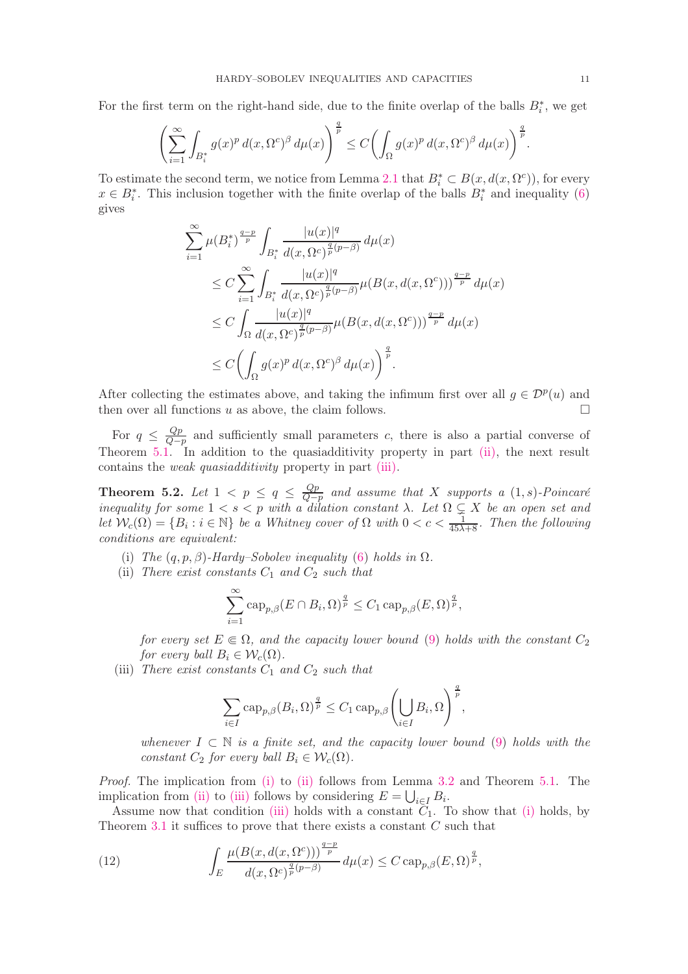For the first term on the right-hand side, due to the finite overlap of the balls  $B_i^*$ , we get

$$
\left(\sum_{i=1}^{\infty}\int_{B_i^*} g(x)^p\,d(x,\Omega^c)^{\beta}\,d\mu(x)\right)^{\frac{q}{p}} \leq C \biggl(\int_{\Omega} g(x)^p\,d(x,\Omega^c)^{\beta}\,d\mu(x)\biggr)^{\frac{q}{p}}.
$$

To estimate the second term, we notice from Lemma [2.1](#page-4-8) that  $B_i^* \subset B(x, d(x, \Omega^c))$ , for every  $x \in B_i^*$ . This inclusion together with the finite overlap of the balls  $B_i^*$  and inequality [\(6\)](#page-4-6) gives

$$
\sum_{i=1}^{\infty} \mu(B_i^*)^{\frac{q-p}{p}} \int_{B_i^*} \frac{|u(x)|^q}{d(x,\Omega^c)^{\frac{q}{p}(p-\beta)}} d\mu(x)
$$
\n
$$
\leq C \sum_{i=1}^{\infty} \int_{B_i^*} \frac{|u(x)|^q}{d(x,\Omega^c)^{\frac{q}{p}(p-\beta)}} \mu(B(x,d(x,\Omega^c)))^{\frac{q-p}{p}} d\mu(x)
$$
\n
$$
\leq C \int_{\Omega} \frac{|u(x)|^q}{d(x,\Omega^c)^{\frac{q}{p}(p-\beta)}} \mu(B(x,d(x,\Omega^c)))^{\frac{q-p}{p}} d\mu(x)
$$
\n
$$
\leq C \left( \int_{\Omega} g(x)^p d(x,\Omega^c)^{\beta} d\mu(x) \right)^{\frac{q}{p}}.
$$

After collecting the estimates above, and taking the infimum first over all  $g \in \mathcal{D}^p(u)$  and then over all functions u as above, the claim follows.  $\Box$ 

For  $q \leq \frac{Qp}{Q-p}$  $\frac{Qp}{Q-p}$  and sufficiently small parameters c, there is also a partial converse of Theorem [5.1.](#page-9-1) In addition to the quasiadditivity property in part [\(ii\),](#page-10-1) the next result contains the *weak quasiadditivity* property in part [\(iii\).](#page-10-2)

<span id="page-10-0"></span>Theorem 5.2. Let  $1 \leq p \leq q \leq \frac{Qp}{Q-1}$  $\frac{Qp}{Q-p}$  and assume that X supports a  $(1, s)$ -Poincaré inequality for some  $1 < s < p$  with a dilation constant  $\lambda$ . Let  $\Omega \subsetneq X$  be an open set and let  $\mathcal{W}_c(\Omega) = \{B_i : i \in \mathbb{N}\}\$ be a Whitney cover of  $\Omega$  with  $0 < c < \frac{1}{45\lambda + 8}$ . Then the following conditions are equivalent:

- <span id="page-10-3"></span><span id="page-10-1"></span>(i) The  $(q, p, \beta)$ -Hardy–Sobolev inequality [\(6\)](#page-4-6) holds in  $\Omega$ .
- (ii) There exist constants  $C_1$  and  $C_2$  such that

$$
\sum_{i=1}^{\infty} \operatorname{cap}_{p,\beta}(E \cap B_i, \Omega)^{\frac{q}{p}} \le C_1 \operatorname{cap}_{p,\beta}(E, \Omega)^{\frac{q}{p}},
$$

for every set  $E \in \Omega$ , and the capacity lower bound [\(9\)](#page-6-1) holds with the constant  $C_2$ for every ball  $B_i \in \mathcal{W}_c(\Omega)$ .

<span id="page-10-2"></span>(iii) There exist constants  $C_1$  and  $C_2$  such that

$$
\sum_{i\in I} \operatorname{cap}_{p,\beta}(B_i,\Omega)^{\frac{q}{p}} \le C_1 \operatorname{cap}_{p,\beta}\left(\bigcup_{i\in I} B_i,\Omega\right)^{\frac{q}{p}},
$$

whenever  $I \subset \mathbb{N}$  is a finite set, and the capacity lower bound [\(9\)](#page-6-1) holds with the constant  $C_2$  for every ball  $B_i \in \mathcal{W}_c(\Omega)$ .

Proof. The implication from [\(i\)](#page-10-3) to [\(ii\)](#page-10-1) follows from Lemma [3.2](#page-6-2) and Theorem [5.1.](#page-9-1) The implication from [\(ii\)](#page-10-1) to [\(iii\)](#page-10-2) follows by considering  $E = \bigcup_{i \in I} B_i$ .

Assume now that condition [\(iii\)](#page-10-2) holds with a constant  $C_1$ . To show that [\(i\)](#page-10-3) holds, by Theorem [3.1](#page-4-1) it suffices to prove that there exists a constant  $C$  such that

<span id="page-10-4"></span>(12) 
$$
\int_{E} \frac{\mu(B(x, d(x, \Omega^c)))^{\frac{q-p}{p}}}{d(x, \Omega^c)^{\frac{q}{p}(p-\beta)}} d\mu(x) \leq C \operatorname{cap}_{p,\beta}(E, \Omega)^{\frac{q}{p}},
$$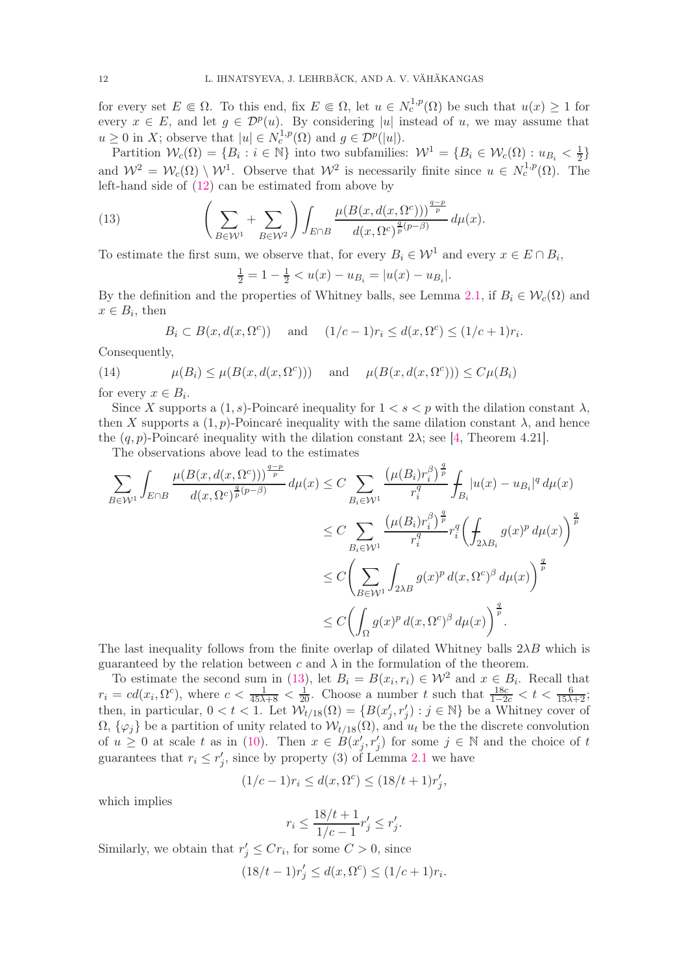for every set  $E \in \Omega$ . To this end, fix  $E \in \Omega$ , let  $u \in N_c^{1,p}(\Omega)$  be such that  $u(x) \geq 1$  for every  $x \in E$ , and let  $g \in \mathcal{D}^p(u)$ . By considering |u| instead of u, we may assume that  $u \geq 0$  in X; observe that  $|u| \in N_c^{1,p}(\Omega)$  and  $g \in \mathcal{D}^p(|u|)$ .

Partition  $\mathcal{W}_c(\Omega) = \{B_i : i \in \mathbb{N}\}\$ into two subfamilies:  $\mathcal{W}^1 = \{B_i \in \mathcal{W}_c(\Omega) : u_{B_i} < \frac{1}{2}\}\$ and  $\mathcal{W}^2 = \mathcal{W}_c(\Omega) \setminus \mathcal{W}^1$ . Observe that  $\mathcal{W}^2$  is necessarily finite since  $u \in N_c^{1,p}(\Omega)$ . The left-hand side of [\(12\)](#page-10-4) can be estimated from above by

(13) 
$$
\left(\sum_{B\in\mathcal{W}^1}+\sum_{B\in\mathcal{W}^2}\right)\int_{E\cap B}\frac{\mu(B(x,d(x,\Omega^c)))^{\frac{q-p}{p}}}{d(x,\Omega^c)^{\frac{q}{p}(p-\beta)}}d\mu(x).
$$

To estimate the first sum, we observe that, for every  $B_i \in \mathcal{W}^1$  and every  $x \in E \cap B_i$ ,

<span id="page-11-0"></span>
$$
\frac{1}{2} = 1 - \frac{1}{2} < u(x) - u_{B_i} = |u(x) - u_{B_i}|.
$$

By the definition and the properties of Whitney balls, see Lemma [2.1,](#page-4-8) if  $B_i \in \mathcal{W}_c(\Omega)$  and  $x \in B_i$ , then

<span id="page-11-1"></span>
$$
B_i \subset B(x, d(x, \Omega^c)) \quad \text{and} \quad (1/c - 1)r_i \le d(x, \Omega^c) \le (1/c + 1)r_i.
$$

Consequently,

(14) 
$$
\mu(B_i) \le \mu(B(x, d(x, \Omega^c))) \quad \text{and} \quad \mu(B(x, d(x, \Omega^c))) \le C\mu(B_i)
$$

for every  $x \in B_i$ .

Since X supports a  $(1, s)$ -Poincaré inequality for  $1 < s < p$  with the dilation constant  $\lambda$ , then X supports a  $(1, p)$ -Poincaré inequality with the same dilation constant  $\lambda$ , and hence the  $(q, p)$ -Poincaré inequality with the dilation constant  $2\lambda$ ; see [\[4,](#page-15-12) Theorem 4.21].

The observations above lead to the estimates

$$
\sum_{B \in \mathcal{W}^1} \int_{E \cap B} \frac{\mu(B(x, d(x, \Omega^c))^{\frac{q-p}{p}}}{d(x, \Omega^c)^{\frac{q}{p}(p-\beta)}} d\mu(x) \le C \sum_{B_i \in \mathcal{W}^1} \frac{(\mu(B_i) r_i^{\beta})^{\frac{q}{p}}}{r_i^q} \int_{B_i} |u(x) - u_{B_i}|^q d\mu(x)
$$
\n
$$
\le C \sum_{B_i \in \mathcal{W}^1} \frac{(\mu(B_i) r_i^{\beta})^{\frac{q}{p}}}{r_i^q} r_i^q \left(\int_{2\lambda B_i} g(x)^p d\mu(x)\right)^{\frac{q}{p}}
$$
\n
$$
\le C \left(\sum_{B \in \mathcal{W}^1} \int_{2\lambda B} g(x)^p d(x, \Omega^c)^{\beta} d\mu(x)\right)^{\frac{q}{p}}
$$
\n
$$
\le C \left(\int_{\Omega} g(x)^p d(x, \Omega^c)^{\beta} d\mu(x)\right)^{\frac{q}{p}}.
$$

The last inequality follows from the finite overlap of dilated Whitney balls  $2\lambda B$  which is guaranteed by the relation between c and  $\lambda$  in the formulation of the theorem.

To estimate the second sum in [\(13\)](#page-11-0), let  $B_i = B(x_i, r_i) \in \mathcal{W}^2$  and  $x \in B_i$ . Recall that  $r_i = cd(x_i, \Omega^c)$ , where  $c < \frac{1}{45\lambda + 8} < \frac{1}{20}$ . Choose a number t such that  $\frac{18c}{1-2c} < t < \frac{6}{15\lambda + 2}$ ; then, in particular,  $0 < t < 1$ . Let  $\mathcal{W}_{t/18}(\Omega) = \{B(x'_j, r'_j) : j \in \mathbb{N}\}\$ be a Whitney cover of  $\Omega$ ,  $\{\varphi_i\}$  be a partition of unity related to  $\mathcal{W}_{t/18}(\Omega)$ , and  $u_t$  be the the discrete convolution of  $u \geq 0$  at scale t as in [\(10\)](#page-7-1). Then  $x \in B(x'_j, r'_j)$  for some  $j \in \mathbb{N}$  and the choice of t guarantees that  $r_i \leq r'_j$ , since by property (3) of Lemma [2.1](#page-4-8) we have

$$
(1/c - 1)r_i \le d(x, \Omega^c) \le (18/t + 1)r'_j,
$$

which implies

$$
r_i \le \frac{18/t + 1}{1/c - 1} r'_j \le r'_j.
$$

Similarly, we obtain that  $r'_j \leq Cr_i$ , for some  $C > 0$ , since

$$
(18/t - 1)r'_j \le d(x, \Omega^c) \le (1/c + 1)r_i.
$$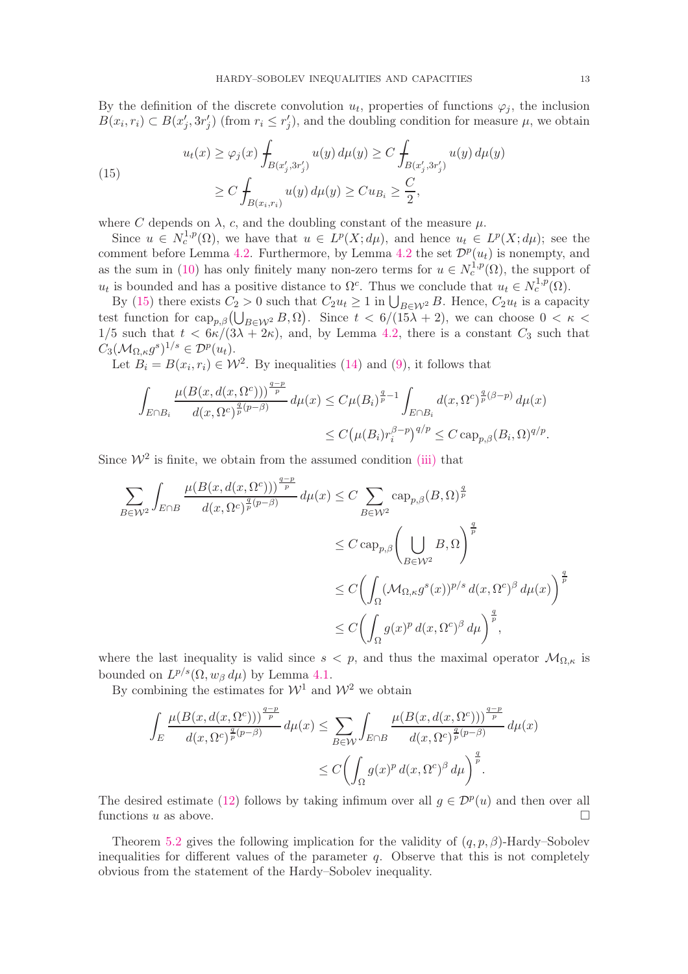By the definition of the discrete convolution  $u_t$ , properties of functions  $\varphi_j$ , the inclusion  $B(x_i, r_i) \subset B(x'_j, 3r'_j)$  (from  $r_i \leq r'_j$ ), and the doubling condition for measure  $\mu$ , we obtain

<span id="page-12-0"></span>(15) 
$$
u_t(x) \ge \varphi_j(x) \int_{B(x'_j, 3r'_j)} u(y) d\mu(y) \ge C \int_{B(x'_j, 3r'_j)} u(y) d\mu(y) \ge C \int_{B(x_i, r_i)} u(y) d\mu(y) \ge C u_{B_i} \ge \frac{C}{2},
$$

where C depends on  $\lambda$ , c, and the doubling constant of the measure  $\mu$ .

Since  $u \in N_c^{1,p}(\Omega)$ , we have that  $u \in L^p(X; d\mu)$ , and hence  $u_t \in L^p(X; d\mu)$ ; see the comment before Lemma [4.2.](#page-7-0) Furthermore, by Lemma [4.2](#page-7-0) the set  $\mathcal{D}^p(u_t)$  is nonempty, and as the sum in [\(10\)](#page-7-1) has only finitely many non-zero terms for  $u \in N_c^{1,p}(\Omega)$ , the support of  $u_t$  is bounded and has a positive distance to  $\Omega^c$ . Thus we conclude that  $u_t \in N_c^{1,p}(\Omega)$ .

By [\(15\)](#page-12-0) there exists  $C_2 > 0$  such that  $C_2 u_t \geq 1$  in  $\bigcup_{B \in \mathcal{W}^2} B$ . Hence,  $C_2 u_t$  is a capacity test function for  $\text{cap}_{p,\beta}(\bigcup_{B\in\mathcal{W}^2}B,\Omega)$ . Since  $t < 6/(15\lambda+2)$ , we can choose  $0 < \kappa <$ 1/5 such that  $t < 6\kappa/(3\lambda + 2\kappa)$ , and, by Lemma [4.2,](#page-7-0) there is a constant  $C_3$  such that  $C_3(\mathcal{M}_{\Omega,\kappa}g^s)^{1/s} \in \mathcal{D}^p(u_t).$ 

Let  $B_i = B(x_i, r_i) \in \mathcal{W}^2$ . By inequalities [\(14\)](#page-11-1) and [\(9\)](#page-6-1), it follows that

$$
\int_{E \cap B_i} \frac{\mu(B(x, d(x, \Omega^c)))^{\frac{q-p}{p}}}{d(x, \Omega^c)^{\frac{q}{p}(p-\beta)}} d\mu(x) \leq C \mu(B_i)^{\frac{q}{p}-1} \int_{E \cap B_i} d(x, \Omega^c)^{\frac{q}{p}(\beta-p)} d\mu(x)
$$
  

$$
\leq C \big(\mu(B_i) r_i^{\beta-p}\big)^{q/p} \leq C \operatorname{cap}_{p,\beta}(B_i, \Omega)^{q/p}.
$$

Since  $W^2$  is finite, we obtain from the assumed condition [\(iii\)](#page-10-2) that

$$
\sum_{B \in \mathcal{W}^2} \int_{E \cap B} \frac{\mu(B(x, d(x, \Omega^c)))^{\frac{q-p}{p}}}{d(x, \Omega^c)^{\frac{q}{p}(p-\beta)}} d\mu(x) \le C \sum_{B \in \mathcal{W}^2} \operatorname{cap}_{p,\beta} (B, \Omega)^{\frac{q}{p}} \n\le C \operatorname{cap}_{p,\beta} \left( \bigcup_{B \in \mathcal{W}^2} B, \Omega \right)^{\frac{q}{p}} \n\le C \left( \int_{\Omega} (\mathcal{M}_{\Omega, \kappa} g^s(x))^{p/s} d(x, \Omega^c)^{\beta} d\mu(x) \right)^{\frac{q}{p}} \n\le C \left( \int_{\Omega} g(x)^p d(x, \Omega^c)^{\beta} d\mu \right)^{\frac{q}{p}},
$$

where the last inequality is valid since  $s < p$ , and thus the maximal operator  $\mathcal{M}_{\Omega,\kappa}$  is bounded on  $L^{p/s}(\Omega, w_\beta \, d\mu)$  by Lemma [4.1.](#page-6-3)

By combining the estimates for  $W^1$  and  $W^2$  we obtain

$$
\int_{E} \frac{\mu(B(x, d(x, \Omega^c)))^{\frac{q-p}{p}}}{d(x, \Omega^c)^{\frac{q}{p}(p-\beta)}} d\mu(x) \le \sum_{B \in \mathcal{W}} \int_{E \cap B} \frac{\mu(B(x, d(x, \Omega^c)))^{\frac{q-p}{p}}}{d(x, \Omega^c)^{\frac{q}{p}(p-\beta)}} d\mu(x)
$$
  

$$
\le C \left( \int_{\Omega} g(x)^p d(x, \Omega^c)^{\beta} d\mu \right)^{\frac{q}{p}}.
$$

The desired estimate [\(12\)](#page-10-4) follows by taking infimum over all  $g \in \mathcal{D}^p(u)$  and then over all functions  $u$  as above.

Theorem [5.2](#page-10-0) gives the following implication for the validity of  $(q, p, \beta)$ -Hardy–Sobolev inequalities for different values of the parameter  $q$ . Observe that this is not completely obvious from the statement of the Hardy–Sobolev inequality.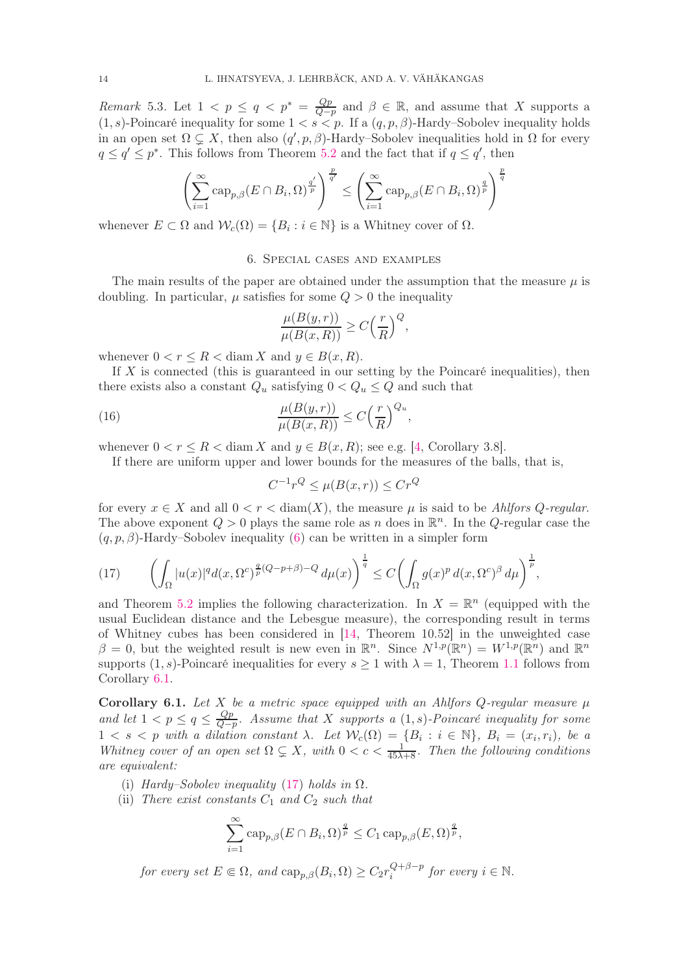*Remark* 5.3. Let  $1 < p \leq q < p^* = \frac{Qp}{Q-1}$  $\frac{Qp}{Q-p}$  and  $\beta \in \mathbb{R}$ , and assume that X supports a  $(1, s)$ -Poincaré inequality for some  $1 < s < p$ . If a  $(q, p, \beta)$ -Hardy–Sobolev inequality holds in an open set  $\Omega \subsetneq X$ , then also  $(q', p, \beta)$ -Hardy–Sobolev inequalities hold in  $\Omega$  for every  $q \leq q' \leq p^*$ . This follows from Theorem [5.2](#page-10-0) and the fact that if  $q \leq q'$ , then

$$
\left(\sum_{i=1}^{\infty} \operatorname{cap}_{p,\beta}(E \cap B_i, \Omega)^{\frac{q'}{p}}\right)^{\frac{p}{q'}} \le \left(\sum_{i=1}^{\infty} \operatorname{cap}_{p,\beta}(E \cap B_i, \Omega)^{\frac{q}{p}}\right)^{\frac{p}{q}}
$$

<span id="page-13-0"></span>whenever  $E \subset \Omega$  and  $\mathcal{W}_c(\Omega) = \{B_i : i \in \mathbb{N}\}\$ is a Whitney cover of  $\Omega$ .

## 6. Special cases and examples

The main results of the paper are obtained under the assumption that the measure  $\mu$  is doubling. In particular,  $\mu$  satisfies for some  $Q > 0$  the inequality

$$
\frac{\mu(B(y,r))}{\mu(B(x,R))} \ge C\left(\frac{r}{R}\right)^Q,
$$

whenever  $0 < r \leq R < \text{diam } X$  and  $y \in B(x, R)$ .

If  $X$  is connected (this is guaranteed in our setting by the Poincaré inequalities), then there exists also a constant  $Q_u$  satisfying  $0 < Q_u \leq Q$  and such that

(16) 
$$
\frac{\mu(B(y,r))}{\mu(B(x,R))} \leq C \left(\frac{r}{R}\right)^{Q_u},
$$

whenever  $0 < r \leq R < \text{diam } X$  and  $y \in B(x, R)$ ; see e.g. [\[4,](#page-15-12) Corollary 3.8].

If there are uniform upper and lower bounds for the measures of the balls, that is,

$$
C^{-1}r^{Q} \le \mu(B(x,r)) \le Cr^{Q}
$$

for every  $x \in X$  and all  $0 < r <$  diam $(X)$ , the measure  $\mu$  is said to be *Ahlfors Q-regular*. The above exponent  $Q > 0$  plays the same role as n does in  $\mathbb{R}^n$ . In the Q-regular case the  $(q, p, \beta)$ -Hardy–Sobolev inequality [\(6\)](#page-4-6) can be written in a simpler form

<span id="page-13-2"></span>(17) 
$$
\left(\int_{\Omega} |u(x)|^q d(x, \Omega^c)^{\frac{q}{p}(Q-p+\beta)-Q} d\mu(x)\right)^{\frac{1}{q}} \leq C \left(\int_{\Omega} g(x)^p d(x, \Omega^c)^{\beta} d\mu\right)^{\frac{1}{p}},
$$

and Theorem [5.2](#page-10-0) implies the following characterization. In  $X = \mathbb{R}^n$  (equipped with the usual Euclidean distance and the Lebesgue measure), the corresponding result in terms of Whitney cubes has been considered in [\[14,](#page-15-0) Theorem 10.52] in the unweighted case  $\beta = 0$ , but the weighted result is new even in  $\mathbb{R}^n$ . Since  $N^{1,p}(\mathbb{R}^n) = W^{1,p}(\mathbb{R}^n)$  and  $\mathbb{R}^n$ supports (1, s)-Poincaré inequalities for every  $s \ge 1$  with  $\lambda = 1$ , Theorem [1.1](#page-1-0) follows from Corollary [6.1.](#page-13-1)

<span id="page-13-1"></span>Corollary 6.1. Let X be a metric space equipped with an Ahlfors Q-regular measure  $\mu$ and let  $1 < p \leq q \leq \frac{Qp}{Q-q}$  $\frac{Qp}{Q-p}$ . Assume that X supports a  $(1, s)$ -Poincaré inequality for some  $1 < s < p$  with a dilation constant  $\lambda$ . Let  $\mathcal{W}_c(\Omega) = \{B_i : i \in \mathbb{N}\}, B_i = (x_i, r_i),$  be a Whitney cover of an open set  $\Omega \subsetneq X$ , with  $0 < c < \frac{1}{45\lambda+8}$ . Then the following conditions are equivalent:

- <span id="page-13-3"></span>(i) Hardy–Sobolev inequality [\(17\)](#page-13-2) holds in  $\Omega$ .
- (ii) There exist constants  $C_1$  and  $C_2$  such that

$$
\sum_{i=1}^{\infty} \operatorname{cap}_{p,\beta}(E \cap B_i, \Omega)^{\frac{q}{p}} \le C_1 \operatorname{cap}_{p,\beta}(E, \Omega)^{\frac{q}{p}},
$$

for every set  $E \in \Omega$ , and  $\text{cap}_{p,\beta}(B_i,\Omega) \geq C_2 r_i^{Q+\beta-p}$  $i^{Q+p-p}$  for every  $i \in \mathbb{N}$ .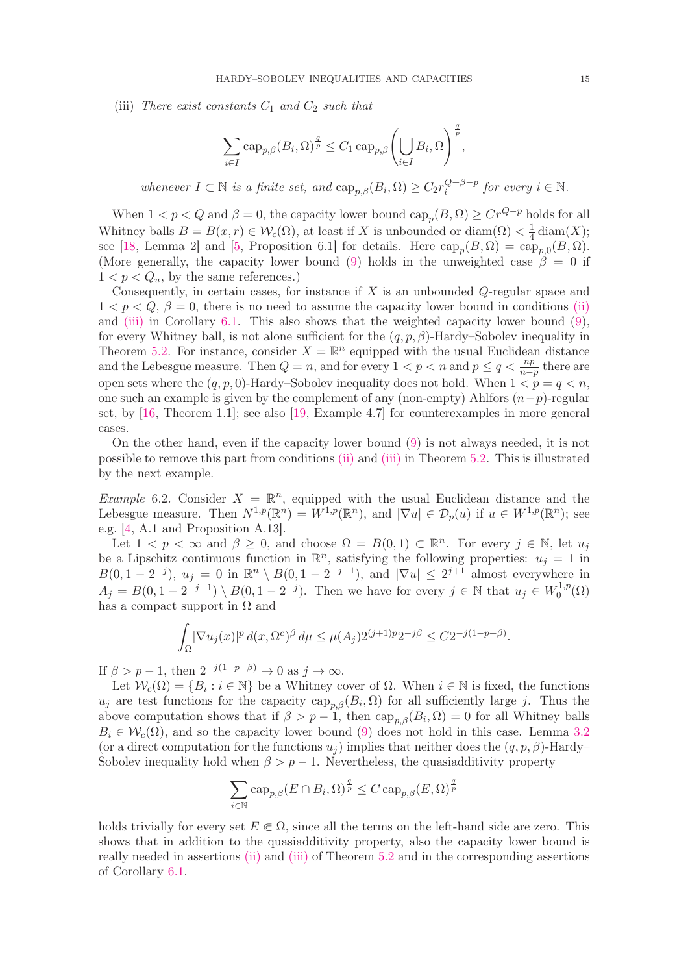<span id="page-14-0"></span>(iii) There exist constants  $C_1$  and  $C_2$  such that

$$
\sum_{i \in I} \operatorname{cap}_{p,\beta}(B_i, \Omega)^{\frac{q}{p}} \le C_1 \operatorname{cap}_{p,\beta}\left(\bigcup_{i \in I} B_i, \Omega\right)^{\frac{q}{p}},
$$

whenever  $I \subset \mathbb{N}$  is a finite set, and  $\text{cap}_{p,\beta}(B_i,\Omega) \geq C_2 r_i^{Q+\beta-p}$  $i^{Q+\rho-p}$  for every  $i \in \mathbb{N}$ .

When  $1 < p < Q$  and  $\beta = 0$ , the capacity lower bound  $\text{cap}_p(B, \Omega) \ge Cr^{Q-p}$  holds for all Whitney balls  $B = B(x, r) \in W_c(\Omega)$ , at least if X is unbounded or diam $(\Omega) < \frac{1}{4}$  $\frac{1}{4}$  diam $(X);$ see [\[18,](#page-15-1) Lemma 2] and [\[5,](#page-15-20) Proposition 6.1] for details. Here  $\text{cap}_p(B, \Omega) = \text{cap}_{p,0}(B, \Omega)$ . (More generally, the capacity lower bound [\(9\)](#page-6-1) holds in the unweighted case  $\beta = 0$  if  $1 < p < Q_u$ , by the same references.)

Consequently, in certain cases, for instance if  $X$  is an unbounded  $Q$ -regular space and  $1 < p < Q, \beta = 0$ , there is no need to assume the capacity lower bound in conditions [\(ii\)](#page-13-3) and [\(iii\)](#page-14-0) in Corollary [6.1.](#page-13-1) This also shows that the weighted capacity lower bound  $(9)$ , for every Whitney ball, is not alone sufficient for the  $(q, p, \beta)$ -Hardy–Sobolev inequality in Theorem [5.2.](#page-10-0) For instance, consider  $X = \mathbb{R}^n$  equipped with the usual Euclidean distance and the Lebesgue measure. Then  $Q = n$ , and for every  $1 < p < n$  and  $p \le q < \frac{np}{n-p}$  there are open sets where the  $(q, p, 0)$ -Hardy–Sobolev inequality does not hold. When  $1 < p = q < n$ , one such an example is given by the complement of any (non-empty) Ahlfors  $(n-p)$ -regular set, by [\[16,](#page-15-21) Theorem 1.1]; see also [\[19,](#page-15-10) Example 4.7] for counterexamples in more general cases.

On the other hand, even if the capacity lower bound [\(9\)](#page-6-1) is not always needed, it is not possible to remove this part from conditions [\(ii\)](#page-13-3) and [\(iii\)](#page-14-0) in Theorem [5.2.](#page-10-0) This is illustrated by the next example.

Example 6.2. Consider  $X = \mathbb{R}^n$ , equipped with the usual Euclidean distance and the Lebesgue measure. Then  $N^{1,p}(\mathbb{R}^n) = W^{1,p}(\mathbb{R}^n)$ , and  $|\nabla u| \in \mathcal{D}_p(u)$  if  $u \in W^{1,p}(\mathbb{R}^n)$ ; see e.g. [\[4,](#page-15-12) A.1 and Proposition A.13].

Let  $1 < p < \infty$  and  $\beta \geq 0$ , and choose  $\Omega = B(0,1) \subset \mathbb{R}^n$ . For every  $j \in \mathbb{N}$ , let  $u_j$ be a Lipschitz continuous function in  $\mathbb{R}^n$ , satisfying the following properties:  $u_j = 1$  in  $B(0, 1 - 2^{-j}), u_j = 0$  in  $\mathbb{R}^n \setminus B(0, 1 - 2^{-j-1}),$  and  $|\nabla u| \leq 2^{j+1}$  almost everywhere in  $A_j = B(0, 1 - 2^{-j-1}) \setminus B(0, 1 - 2^{-j}).$  Then we have for every  $j \in \mathbb{N}$  that  $u_j \in W_0^{1,p}$  $\binom{1,p}{0}$ has a compact support in  $\Omega$  and

$$
\int_{\Omega} |\nabla u_j(x)|^p d(x, \Omega^c)^{\beta} d\mu \le \mu(A_j) 2^{(j+1)p} 2^{-j\beta} \le C 2^{-j(1-p+\beta)}.
$$

If  $\beta > p-1$ , then  $2^{-j(1-p+\beta)} \to 0$  as  $j \to \infty$ .

Let  $W_c(\Omega) = \{B_i : i \in \mathbb{N}\}\$ be a Whitney cover of  $\Omega$ . When  $i \in \mathbb{N}$  is fixed, the functions  $u_j$  are test functions for the capacity  $\text{cap}_{p,\beta}(B_i,\Omega)$  for all sufficiently large j. Thus the above computation shows that if  $\beta > p-1$ , then  $\text{cap}_{p,\beta}(B_i,\Omega) = 0$  for all Whitney balls  $B_i \in \mathcal{W}_c(\Omega)$ , and so the capacity lower bound [\(9\)](#page-6-1) does not hold in this case. Lemma [3.2](#page-6-2) (or a direct computation for the functions  $u_j$ ) implies that neither does the  $(q, p, \beta)$ -Hardy– Sobolev inequality hold when  $\beta > p - 1$ . Nevertheless, the quasiadditivity property

$$
\sum_{i\in\mathbb{N}} \text{cap}_{p,\beta}(E\cap B_i,\Omega)^{\frac{q}{p}}\leq C\, \text{cap}_{p,\beta}(E,\Omega)^{\frac{q}{p}}
$$

holds trivially for every set  $E \in \Omega$ , since all the terms on the left-hand side are zero. This shows that in addition to the quasiadditivity property, also the capacity lower bound is really needed in assertions [\(ii\)](#page-13-3) and [\(iii\)](#page-14-0) of Theorem [5.2](#page-10-0) and in the corresponding assertions of Corollary [6.1.](#page-13-1)